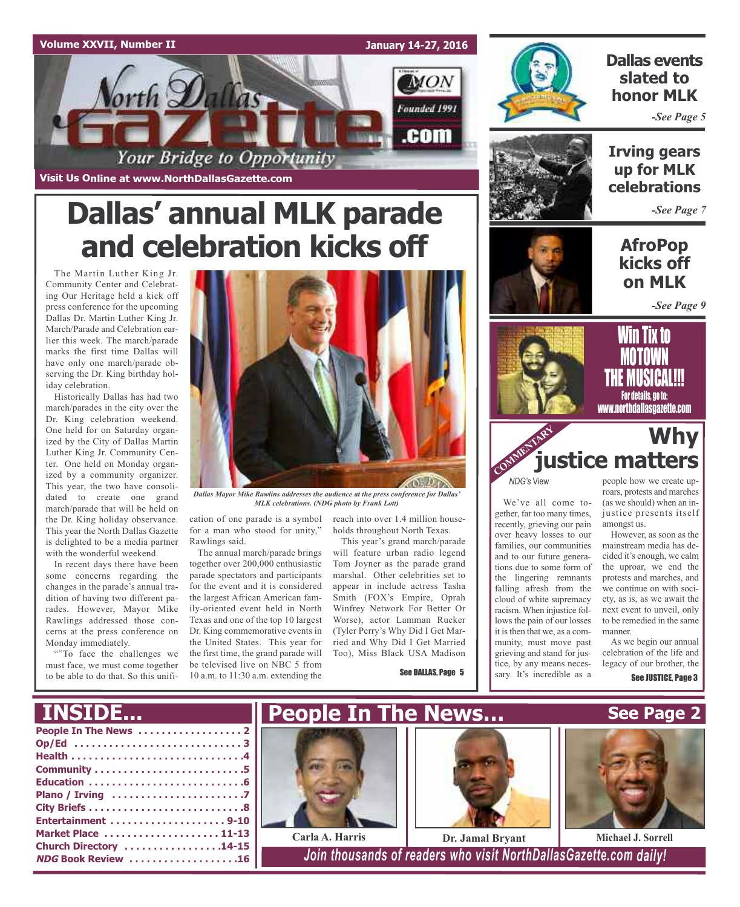



### **Dallas events slated to honor MLK**

*-See Page 5*



**Irving gears up for MLK celebrations**

*-See Page 7*

### **AfroPop kicks off on MLK**

*-See Page 9*

# **Dallas' annual MLK parade and celebration kicks off**

The Martin Luther King Jr. Community Center and Celebrating Our Heritage held a kick off press conference for the upcoming Dallas Dr. Martin Luther King Jr. March/Parade and Celebration earlier this week. The march/parade marks the first time Dallas will have only one march/parade observing the Dr. King birthday holiday celebration.

Historically Dallas has had two march/parades in the city over the Dr. King celebration weekend. One held for on Saturday organized by the City of Dallas Martin Luther King Jr. Community Center. One held on Monday organized by a community organizer. This year, the two have consolidated to create one grand march/parade that will be held on the Dr. King holiday observance. This year the North Dallas Gazette is delighted to be a media partner with the wonderful weekend.

In recent days there have been some concerns regarding the changes in the parade's annual tradition of having two different parades. However, Mayor Mike Rawlings addressed those concerns at the press conference on Monday immediately.

""To face the challenges we must face, we must come together to be able to do that. So this unifi-



*Dallas Mayor Mike Rawlins addresses the audience at the press conference for Dallas' MLK celebrations. (NDG photo by Frank Lott)*

for a man who stood for unity," Rawlings said.

The annual march/parade brings together over 200,000 enthusiastic parade spectators and participants for the event and it is considered the largest African American family-oriented event held in North Texas and one of the top 10 largest Dr. King commemorative events in the United States. This year for the first time, the grand parade will be televised live on NBC 5 from 10 a.m. to 11:30 a.m. extending the

cation of one parade is a symbol reach into over 1.4 million households throughout North Texas.

This year's grand march/parade will feature urban radio legend Tom Joyner as the parade grand marshal. Other celebrities set to appear in include actress Tasha Smith (FOX's Empire, Oprah Winfrey Network For Better Or Worse), actor Lamman Rucker (Tyler Perry's Why Did I Get Married and Why Did I Get Married Too), Miss Black USA Madison

See DALLAS, Page 5





*NDG's* View

We've all come together, far too many times, recently, grieving our pain over heavy losses to our families, our communities and to our future generations due to some form of the lingering remnants falling afresh from the cloud of white supremacy racism. When injustice follows the pain of our losses it is then that we, as a community, must move past grieving and stand for justice, by any means necessary. It's incredible as a

people how we create uproars, protests and marches (as we should) when an injustice presents itself amongst us.

However, as soon as the mainstream media has decided it's enough, we calm the uproar, we end the protests and marches, and we continue on with society, as is, as we await the next event to unveil, only to be remedied in the same manner.

As we begin our annual celebration of the life and legacy of our brother, the

See JUSTICE, Page 3

**See Page 2**



**Plano / Irving . . . . . . . . . . . . . . . . . . . . . . .7 City Briefs . . . . . . . . . . . . . . . . . . . . . . . . . . .8 Entertainment . . . . . . . . . . . . . . . . . . . . 9-10 Market Place . . . . . . . . . . . . . . . . . . . . 11-13 Church Directory . . . . . . . . . . . . . . . . .14-15**







**NDG Book Review . . . . . . . . . . . . . . . . . . .16** *Join thousands of readers who visit NorthDallasGazette.com daily!*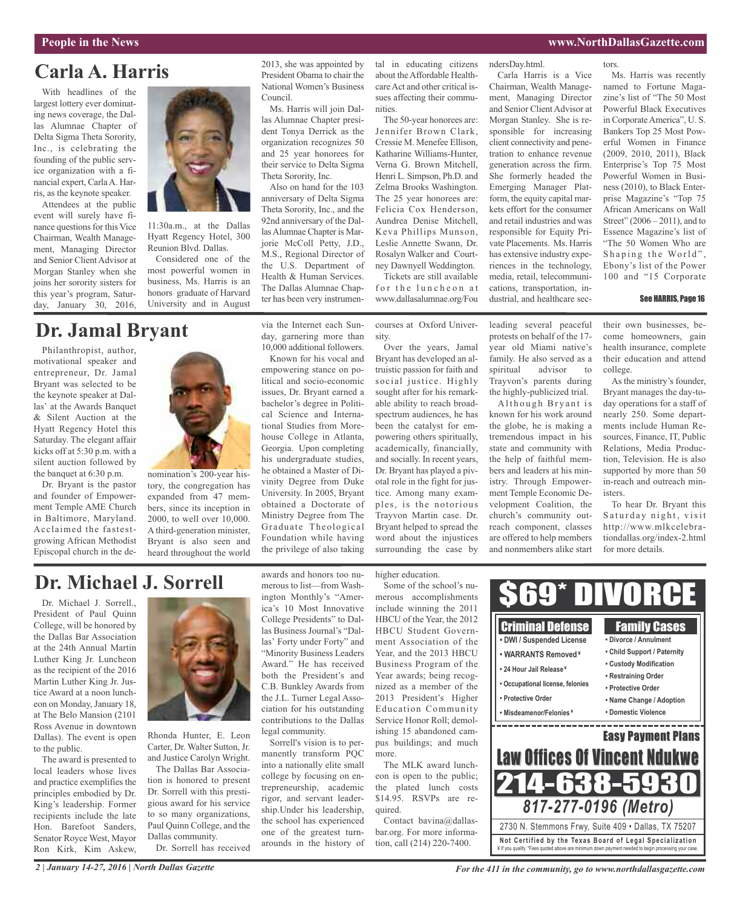# **Carla A. Harris**

With headlines of the largest lottery ever dominating news coverage, the Dallas Alumnae Chapter of Delta Sigma Theta Sorority, Inc., is celebrating the founding of the public service organization with a financial expert, CarlaA. Harris, as the keynote speaker.

Attendees at the public event will surely have finance questions for this Vice Chairman, Wealth Management, Managing Director and Senior Client Advisor at Morgan Stanley when she joins her sorority sisters for this year's program, Saturday, January 30, 2016,



11:30a.m., at the Dallas Hyatt Regency Hotel, 300 Reunion Blvd. Dallas.

Considered one of the most powerful women in business, Ms. Harris is an honors graduate of Harvard University and in August

# **Dr. Jamal Bryant**

Philanthropist, author, motivational speaker and entrepreneur, Dr. Jamal Bryant was selected to be the keynote speaker at Dallas' at the Awards Banquet & Silent Auction at the Hyatt Regency Hotel this Saturday. The elegant affair kicks off at 5:30 p.m. with a silent auction followed by the banquet at 6:30 p.m.

Dr. Bryant is the pastor and founder of Empowerment Temple AME Church in Baltimore, Maryland. Acclaimed the fastestgrowing African Methodist Episcopal church in the de-



nomination's 200-year history, the congregation has expanded from 47 members, since its inception in 2000, to well over 10,000. A third-generation minister, Bryant is also seen and heard throughout the world 2013, she was appointed by President Obama to chair the National Women's Business Council.

Ms. Harris will join Dallas Alumnae Chapter president Tonya Derrick as the organization recognizes 50 and 25 year honorees for their service to Delta Sigma Theta Sorority, Inc.

Also on hand for the 103 anniversary of Delta Sigma Theta Sorority, Inc., and the 92nd anniversary of the DallasAlumnae Chapter is Marjorie McColl Petty, J.D., M.S., Regional Director of the U.S. Department of Health & Human Services. The Dallas Alumnae Chapter has been very instrumen-

Known for his vocal and empowering stance on political and socio-economic issues, Dr. Bryant earned a bachelor's degree in Political Science and International Studies from Morehouse College in Atlanta, Georgia. Upon completing his undergraduate studies, he obtained a Master of Divinity Degree from Duke University. In 2005, Bryant obtained a Doctorate of Ministry Degree from The Graduate Theological Foundation while having the privilege of also taking

tal in educating citizens about theAffordable HealthcareAct and other critical issues affecting their communities.

The 50-year honorees are: Jennifer Brown Clark, Cressie M. Menefee Ellison, Katharine Williams-Hunter, Verna G. Brown Mitchell, Henri L. Simpson, Ph.D. and Zelma Brooks Washington. The 25 year honorees are: Felicia Cox Henderson, Aundrea Denise Mitchell, Keva Phillips Munson, Leslie Annette Swann, Dr. Rosalyn Walker and Courtney Dawnyell Weddington.

Tickets are still available for the luncheon at www.dallasalumnae.org/Fou

via the Internet each Sunday, garnering more than 10,000 additional followers. courses at Oxford University.

Over the years, Jamal Bryant has developed an altruistic passion for faith and social justice. Highly sought after for his remarkable ability to reach broadspectrum audiences, he has been the catalyst for empowering others spiritually, academically, financially, and socially. In recent years, Dr. Bryant has played a pivotal role in the fight for justice. Among many examples, is the notorious Trayvon Martin case. Dr. Bryant helped to spread the word about the injustices surrounding the case by

leading several peaceful protests on behalf of the 17 year old Miami native's family. He also served as a spiritual advisor to Trayvon's parents during the highly-publicized trial.

ndersDay.html.

Carla Harris is a Vice Chairman, Wealth Management, Managing Director and Senior Client Advisor at Morgan Stanley. She is responsible for increasing client connectivity and penetration to enhance revenue generation across the firm. She formerly headed the Emerging Manager Platform, the equity capital markets effort for the consumer and retail industries and was responsible for Equity Private Placements. Ms. Harris has extensive industry experiences in the technology, media, retail, telecommunications, transportation, industrial, and healthcare sec-

Although Bryant is known for his work around the globe, he is making a tremendous impact in his state and community with the help of faithful members and leaders at his ministry. Through Empowerment Temple Economic Development Coalition, the church's community outreach component, classes are offered to help members and nonmembers alike start

tors.

Ms. Harris was recently named to Fortune Magazine's list of "The 50 Most Powerful Black Executives in Corporate America", U. S. Bankers Top 25 Most Powerful Women in Finance (2009, 2010, 2011), Black Enterprise's Top 75 Most Powerful Women in Business (2010), to Black Enterprise Magazine's "Top 75 African Americans on Wall Street" (2006 – 2011), and to Essence Magazine's list of "The 50 Women Who are Shaping the World", Ebony's list of the Power 100 and "15 Corporate

#### See HARRIS, Page 16

their own businesses, become homeowners, gain health insurance, complete their education and attend college.

As the ministry's founder, Bryant manages the day-today operations for a staff of nearly 250. Some departments include Human Resources, Finance, IT, Public Relations, Media Production, Television. He is also supported by more than 50 in-reach and outreach ministers.

To hear Dr. Bryant this Saturday night, visit http://www.mlkcelebrationdallas.org/index-2.html for more details.

### **Dr. Michael J. Sorrell**

Dr. Michael J. Sorrell., President of Paul Quinn College, will be honored by the Dallas Bar Association at the 24th Annual Martin Luther King Jr. Luncheon as the recipient of the 2016 Martin Luther King Jr. Justice Award at a noon luncheon on Monday, January 18, at The Belo Mansion (2101 Ross Avenue in downtown Dallas). The event is open to the public.

The award is presented to local leaders whose lives and practice exemplifies the principles embodied by Dr. King's leadership. Former recipients include the late Hon. Barefoot Sanders, Senator Royce West, Mayor Ron Kirk, Kim Askew,



Rhonda Hunter, E. Leon Carter, Dr. Walter Sutton, Jr. and Justice Carolyn Wright.

The Dallas Bar Association is honored to present Dr. Sorrell with this prestigious award for his service to so many organizations, Paul Quinn College, and the Dallas community. Dr. Sorrell has received

awards and honors too numerous to list—from Washington Monthly's "America's 10 Most Innovative College Presidents" to Dallas Business Journal's "Dallas' Forty under Forty" and "Minority Business Leaders Award." He has received both the President's and C.B. Bunkley Awards from the J.L. Turner Legal Association for his outstanding contributions to the Dallas legal community. Sorrell's vision is to per-

manently transform PQC into a nationally elite small college by focusing on entrepreneurship, academic rigor, and servant leadership.Under his leadership, the school has experienced one of the greatest turnarounds in the history of higher education.

Some of the school's numerous accomplishments include winning the 2011 HBCU of the Year, the 2012 HBCU Student Government Association of the Year, and the 2013 HBCU Business Program of the Year awards; being recognized as a member of the 2013 President's Higher Education Community Service Honor Roll; demolishing 15 abandoned campus buildings; and much more.

The MLK award luncheon is open to the public; the plated lunch costs \$14.95. RSVPs are required.

Contact bavina@dallasbar.org. For more information, call (214) 220-7400.

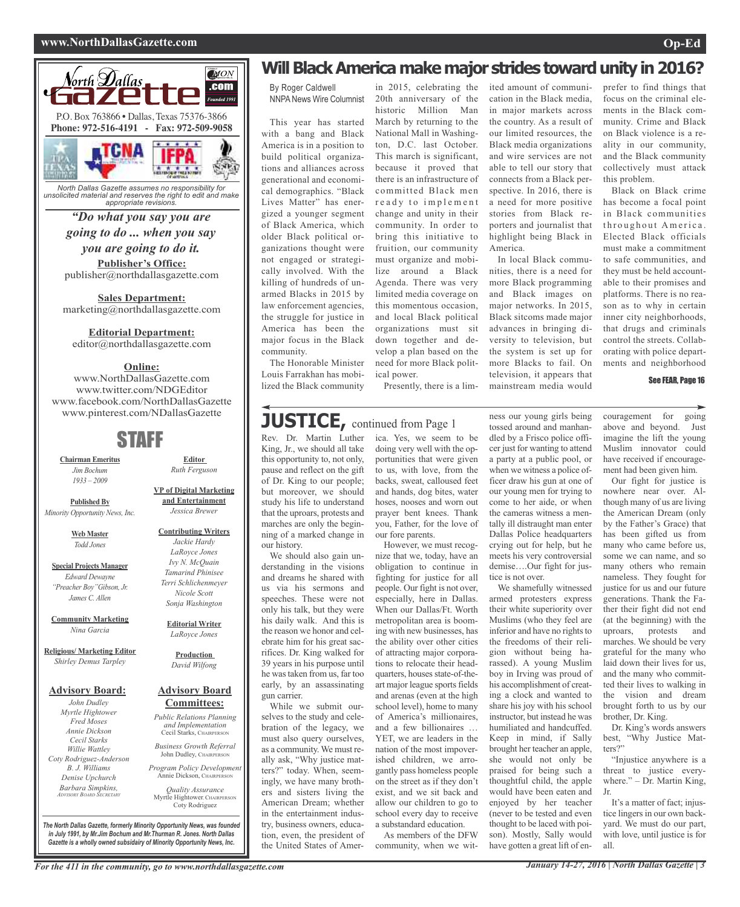#### **www.NorthDallasGazette.com Op-Ed**



*North Dallas Gazette assumes no responsibility for unsolicited material and reserves the right to edit and make appropriate revisions.*

**Publisher's Office:** publisher@northdallasgazette.com *"Do what you say you are going to do ... when you say you are going to do it.*

**Sales Department:** marketing@northdallasgazette.com

**Editorial Department:**

editor@northdallasgazette.com

#### **Online:**

www.NorthDallasGazette.com www.twitter.com/NDGEditor www.facebook.com/NorthDallasGazette www.pinterest.com/NDallasGazette

### STAFF

**Chairman Emeritus** *Jim Bochum 1933 – 2009*

**Published By** *Minority Opportunity News, Inc.*

> **Web Master** *Todd Jones*

**Special Projects Manager** *Edward Dewayne "Preacher Boy"Gibson, Jr. James C. Allen*

**Community Marketing** *Nina Garcia*

**Religious/ Marketing Editor** *Shirley Demus Tarpley*

#### **Advisory Board:**

*John Dudley Myrtle Hightower Fred Moses Annie Dickson Cecil Starks Willie Wattley Coty Rodriguez-Anderson B. J. Williams Denise Upchurch Barbara Simpkins, ADVISORY BOARD SECRETARY*

**VP of Digital Marketing and Entertainment**

*Jessica Brewer*

**Editor** *Ruth Ferguson*

**Contributing Writers** *Jackie Hardy LaRoyce Jones Ivy N. McQuain Tamarind Phinisee Terri Schlichenmeyer Nicole Scott*

> **Editorial Writer** *LaRoyce Jones*

*Sonja Washington*

**Production** *David Wilfong*

#### **Advisory Board Committees:**

*Public Relations Planning and Implementation* Cecil Starks, CHAIRPERSON

*Business Growth Referral* John Dudley, CHAIRPERSON

*Program Policy Development* Annie Dickson, CHAIRPER

*Quality Assurance* Myrtle Hightower, CHAIRPERSON Coty Rodriguez

**Will Black America make major strides toward unity in 2016?** 

By Roger Caldwell NNPANews Wire Columnist

This year has started with a bang and Black America is in a position to build political organizations and alliances across generational and economical demographics. "Black Lives Matter" has energized a younger segment of Black America, which older Black political organizations thought were not engaged or strategically involved. With the killing of hundreds of unarmed Blacks in 2015 by law enforcement agencies, the struggle for justice in America has been the major focus in the Black community.

The Honorable Minister Louis Farrakhan has mobilized the Black community

in 2015, celebrating the 20th anniversary of the historic Million Man March by returning to the National Mall in Washington, D.C. last October. This march is significant, because it proved that there is an infrastructure of committed Black men r e a d y t o implement change and unity in their community. In order to bring this initiative to fruition, our community must organize and mobilize around a Black Agenda. There was very limited media coverage on this momentous occasion, and local Black political organizations must sit down together and develop a plan based on the need for more Black political power.

Presently, there is a lim-

## **JUSTICE,** continued from Page <sup>1</sup>

Rev. Dr. Martin Luther King, Jr., we should all take this opportunity to, not only, pause and reflect on the gift of Dr. King to our people; but moreover, we should study his life to understand that the uproars, protests and marches are only the beginning of a marked change in our history.

We should also gain understanding in the visions and dreams he shared with us via his sermons and speeches. These were not only his talk, but they were his daily walk. And this is the reason we honor and celebrate him for his great sacrifices. Dr. King walked for 39 years in his purpose until he wastaken from us, far too early, by an assassinating gun carrier.

While we submit ourselves to the study and celebration of the legacy, we must also query ourselves, as a community. We must really ask, "Why justice matters?" today. When, seemingly, we have many brothers and sisters living the American Dream; whether in the entertainment industry, business owners, education, even, the president of the United States of America. Yes, we seem to be doing very well with the opportunities that were given to us, with love, from the backs, sweat, calloused feet and hands, dog bites, water hoses, nooses and worn out prayer bent knees. Thank you, Father, for the love of our fore parents.

However, we must recognize that we, today, have an obligation to continue in fighting for justice for all people. Our fight is not over, especially, here in Dallas. When our Dallas/Ft. Worth metropolitan area is booming with new businesses, has the ability over other cities of attracting major corporations to relocate their headquarters, houses state-of-theart major league sports fields and arenas (even at the high school level), home to many of America's millionaires, and a few billionaires … YET, we are leaders in the nation of the most impoverished children, we arrogantly pass homeless people on the street as if they don't exist, and we sit back and allow our children to go to school every day to receive a substandard education.

As members of the DFW community, when we witited amount of communication in the Black media, in major markets across the country. As a result of our limited resources, the Black media organizations and wire services are not able to tell our story that connects from a Black perspective. In 2016, there is a need for more positive stories from Black reporters and journalist that highlight being Black in America.

In local Black communities, there is a need for more Black programming and Black images on major networks. In 2015, Black sitcoms made major advances in bringing diversity to television, but the system is set up for more Blacks to fail. On television, it appears that mainstream media would

ness our young girls being tossed around and manhandled by a Frisco police officer just for wanting to attend a party at a public pool, or when we witness a police officer draw his gun at one of our young men for trying to come to her aide, or when the cameras witness a mentally ill distraught man enter Dallas Police headquarters crying out for help, but he meets his very controversial demise….Our fight for jus-

tice is not over.

We shamefully witnessed armed protesters express their white superiority over Muslims (who they feel are inferior and have no rights to the freedoms of their religion without being harassed). A young Muslim boy in Irving was proud of his accomplishment of creating a clock and wanted to share his joy with his school instructor, but instead he was humiliated and handcuffed. Keep in mind, if Sally brought her teacher an apple, she would not only be praised for being such a thoughtful child, the apple would have been eaten and enjoyed by her teacher (never to be tested and even thought to be laced with poison). Mostly, Sally would have gotten a great lift of en-

prefer to find things that focus on the criminal elements in the Black community. Crime and Black on Black violence is a reality in our community, and the Black community collectively must attack this problem.

Black on Black crime has become a focal point in Black communities throughout America. Elected Black officials must make a commitment to safe communities, and they must be held accountable to their promises and platforms. There is no reason as to why in certain inner city neighborhoods, that drugs and criminals control the streets. Collaborating with police departments and neighborhood

See FEAR, Page 16

couragement for going above and beyond. Just imagine the lift the young Muslim innovator could have received if encouragement had been given him.

Our fight for justice is nowhere near over. Although many of us are living the American Dream (only by the Father's Grace) that has been gifted us from many who came before us, some we can name, and so many others who remain nameless. They fought for justice for us and our future generations. Thank the Father their fight did not end (at the beginning) with the uproars, protests and marches. We should be very grateful for the many who laid down their lives for us, and the many who committed their lives to walking in the vision and dream brought forth to us by our brother, Dr. King. Dr. King's words answers

best, "Why Justice Matters?'

"Injustice anywhere is a threat to justice everywhere." – Dr. Martin King, Jr.

It's a matter of fact; injustice lingers in our own backyard. We must do our part, with love, until justice is for all.

For the 411 in the community, go to www.northdallasgazette.com January 14-27, 2016 | North Dallas Gazette | 3

*The North Dallas Gazette, formerly Minority Opportunity News, was founded in July 1991, by Mr.Jim Bochum and Mr.Thurman R. Jones. North Dallas Gazette is a wholly owned subsidairy of Minority Opportunity News, Inc.*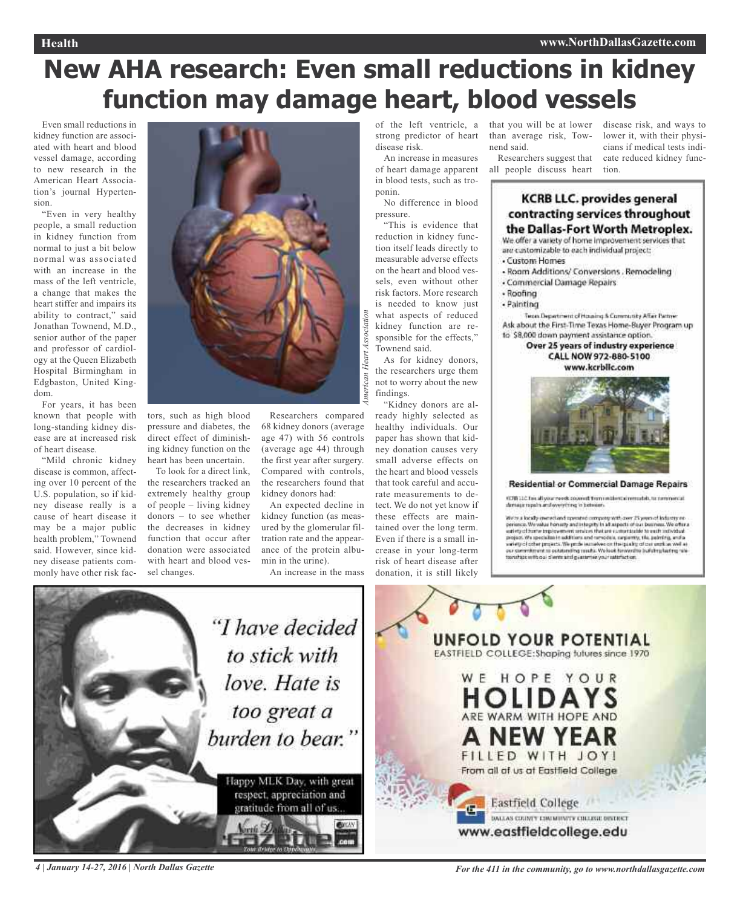# **New AHA research: Even small reductions in kidney function may damage heart, blood vessels**

Even small reductions in kidney function are associated with heart and blood vessel damage, according to new research in the American Heart Association's journal Hypertension.

"Even in very healthy people, a small reduction in kidney function from normal to just a bit below normal was associated with an increase in the mass of the left ventricle, a change that makes the heart stiffer and impairs its ability to contract," said Jonathan Townend, M.D., senior author of the paper and professor of cardiology at the Queen Elizabeth Hospital Birmingham in Edgbaston, United Kingdom.

For years, it has been known that people with long-standing kidney disease are at increased risk of heart disease.

"Mild chronic kidney disease is common, affecting over 10 percent of the U.S. population, so if kidney disease really is a cause of heart disease it may be a major public health problem," Townend said. However, since kidney disease patients commonly have other risk fac-



tors, such as high blood pressure and diabetes, the direct effect of diminishing kidney function on the heart has been uncertain.

To look for a direct link, the researchers tracked an extremely healthy group of people – living kidney donors – to see whether the decreases in kidney function that occur after donation were associated with heart and blood vessel changes.

Researchers compared 68 kidney donors (average age 47) with 56 controls (average age 44) through the first year after surgery. Compared with controls, the researchers found that kidney donors had:

*A*

ican.

*merican Heart Association*

Heart Association

An expected decline in kidney function (as measured by the glomerular filtration rate and the appearance of the protein albumin in the urine).

An increase in the mass

strong predictor of heart disease risk.

An increase in measures of heart damage apparent in blood tests, such as troponin.

No difference in blood pressure.

"This is evidence that reduction in kidney function itself leads directly to measurable adverse effects on the heart and blood vessels, even without other risk factors. More research is needed to know just what aspects of reduced kidney function are responsible for the effects," Townend said.

As for kidney donors, the researchers urge them not to worry about the new findings.

"Kidney donors are already highly selected as healthy individuals. Our paper has shown that kidney donation causes very small adverse effects on the heart and blood vessels that took careful and accurate measurements to detect. We do not yet know if these effects are maintained over the long term. Even if there is a small increase in your long-term risk of heart disease after donation, it is still likely

of the left ventricle, a that you will be at lower disease risk, and ways to than average risk, Townend said.

> Researchers suggest that all people discuss heart

lower it, with their physicians if medical tests indicate reduced kidney function.

#### **KCRB LLC. provides general** contracting services throughout the Dallas-Fort Worth Metroplex.

We offer a variety of home improvement services that are castomizable to each individual project: Custom Homes

- Room Additions/ Conversions . Remodeling
- Commercial Damage Repairs
- 
- Roofing
- Painting

Testa Department of Housing & Community Affair Partner Ask about the First-Time Texas Home-Buyer Program up to \$8,000 down payment assistance option.

Over 25 years of industry experience CALL NOW 972-880-5100 www.kcrblic.com



**Residential or Commercial Damage Repairs** 

90706 22 C. Fox all your revels covered them notairement remember, to nominate at mage reports and overything in between

We're a locally more<br>thand specified company with over  $25$  years of loding<br>ty as periods. We what homoty and integrity in all appells of our business. We offer<br>a unity of home implementary and integrity in all appells of



4 January 14-27, 2016 | North Dallas Gazette State State State State State State State State State State State State State State State State State State State State State State State State State State State State State Sta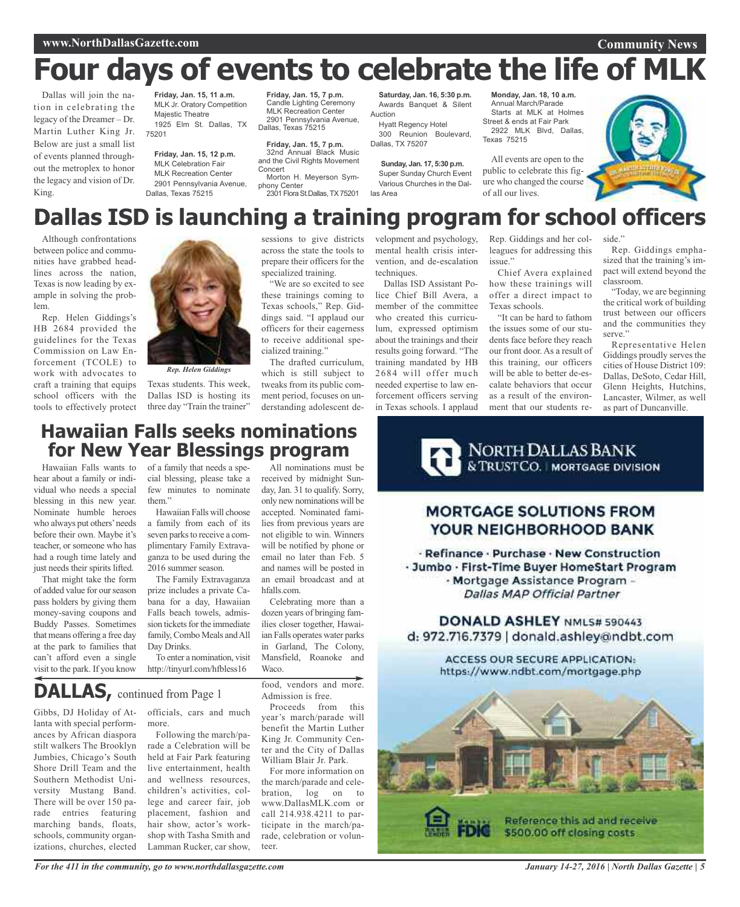#### **Community News**

# **Four days of events to celebrate the life of MLK**

Dallas will join the nation in celebrating the legacy of the Dreamer – Dr. Martin Luther King Jr. Below are just a small list of events planned throughout the metroplex to honor the legacy and vision of Dr. King.

**Friday, Jan. 15, 11 a.m.** MLK Jr. Oratory Competition Majestic Theatre 1925 Elm St. Dallas, TX 75201

**Friday, Jan. 15, 12 p.m.** MLK Celebration Fair MLK Recreation Center 2901 Pennsylvania Avenue, Dallas, Texas 75215

**Friday, Jan. 15, 7 p.m.** Candle Lighting Ceremony MLK Recreation Center 2901 Pennsylvania Avenue, Dallas, Texas 75215

**Friday, Jan. 15, 7 p.m.** 32nd Annual Black Music and the Civil Rights Movement **Concert** Morton H. Meyerson Sym-

phony Center 2301 Flora St.Dallas, TX 75201

**Saturday, Jan. 16, 5:30 p.m.** Awards Banquet & Silent Auction

Hyatt Regency Hotel 300 Reunion Boulevard, Dallas, TX 75207

**Sunday, Jan. 17, 5:30 p.m.** Super Sunday Church Event Various Churches in the Dallas Area

**Monday, Jan. 18, 10 a.m.** Annual March/Parade Starts at MLK at Holmes Street & ends at Fair Park 2922 MLK Blvd, Dallas, Texas 75215

All events are open to the public to celebrate this figure who changed the course of all our lives.



# **Dallas ISD is launching a training program for school officers**

Although confrontations between police and communities have grabbed headlines across the nation, Texas is now leading by example in solving the problem.

Rep. Helen Giddings's HB 2684 provided the guidelines for the Texas Commission on Law Enforcement (TCOLE) to work with advocates to craft a training that equips school officers with the tools to effectively protect



*Rep. Helen Giddings*

Texas students. This week, Dallas ISD is hosting its three day "Train the trainer" sessions to give districts across the state the tools to prepare their officers for the specialized training.

"We are so excited to see these trainings coming to Texas schools," Rep. Giddings said. "I applaud our officers for their eagerness to receive additional specialized training."

The drafted curriculum, which is still subject to tweaks from its public comment period, focuses on understanding adolescent development and psychology, mental health crisis intervention, and de-escalation techniques.

Dallas ISD Assistant Police Chief Bill Avera, a member of the committee who created this curriculum, expressed optimism about the trainings and their results going forward. "The training mandated by HB 2684 will offer much needed expertise to law enforcement officers serving in Texas schools. I applaud

Rep. Giddings and her colleagues for addressing this issue."

Chief Avera explained how these trainings will offer a direct impact to Texas schools.

"It can be hard to fathom the issues some of our students face before they reach our front door. As a result of this training, our officers will be able to better de-escalate behaviors that occur as a result of the environment that our students re-

side." Rep. Giddings emphasized that the training's impact will extend beyond the

classroom. "Today, we are beginning the critical work of building trust between our officers and the communities they serve.'

Representative Helen Giddings proudly serves the cities of House District 109: Dallas, DeSoto, Cedar Hill, Glenn Heights, Hutchins, Lancaster, Wilmer, as well as part of Duncanville.

### **Hawaiian Falls seeks nominations for New Year Blessings program**

Hawaiian Falls wants to hear about a family or individual who needs a special blessing in this new year. Nominate humble heroes who always put others'needs before their own. Maybe it's teacher, or someone who has had a rough time lately and just needs their spirits lifted.

That might take the form of added value for ourseason pass holders by giving them money-saving coupons and Buddy Passes. Sometimes that means offering a free day at the park to families that can't afford even a single visit to the park. If you know

of a family that needs a special blessing, please take a few minutes to nominate them"

Hawaiian Falls will choose a family from each of its seven parks to receive a complimentary Family Extravaganza to be used during the 2016 summer season.

The Family Extravaganza prize includes a private Cabana for a day, Hawaiian Falls beach towels, admission tickets for the immediate family, Combo Meals and All Day Drinks.

To enter a nomination, visit http://tinyurl.com/hfbless16

**DALLAS,** continued from Page <sup>1</sup>

Gibbs, DJ Holiday of Atlanta with special performances by African diaspora stilt walkers The Brooklyn Jumbies, Chicago's South Shore Drill Team and the Southern Methodist University Mustang Band. There will be over 150 parade entries featuring marching bands, floats, schools, community organizations, churches, elected

officials, cars and much more.

Following the march/parade a Celebration will be held at Fair Park featuring live entertainment, health and wellness resources, children's activities, college and career fair, job placement, fashion and hair show, actor's workshop with Tasha Smith and Lamman Rucker, car show,

received by midnight Sunday, Jan. 31 to qualify. Sorry, only new nominations will be accepted. Nominated families from previous years are not eligible to win. Winners will be notified by phone or email no later than Feb. 5 and names will be posted in an email broadcast and at hfalls.com.

All nominations must be

Celebrating more than a dozen years of bringing families closer together, Hawaiian Falls operates water parks in Garland, The Colony, Mansfield, Roanoke and **Waco.** 

food, vendors and more. Admission is free.

Proceeds from this year's march/parade will benefit the Martin Luther King Jr. Community Center and the City of Dallas William Blair Jr. Park.

For more information on the march/parade and celebration, log on to www.DallasMLK.com or call 214.938.4211 to participate in the march/parade, celebration or volunteer.



### **MORTGAGE SOLUTIONS FROM** YOUR NEIGHBORHOOD BANK

- Refinance - Purchase - New Construction - Jumbo - First-Time Buyer HomeStart Program - Mortgage Assistance Program -**Dallas MAP Official Partner** 

DONALD ASHLEY NML5# 590443 d: 972.716.7379 | donald.ashley@ndbt.com

> ACCESS OUR SECURE APPLICATION: https://www.ndbt.com/mortgage.php

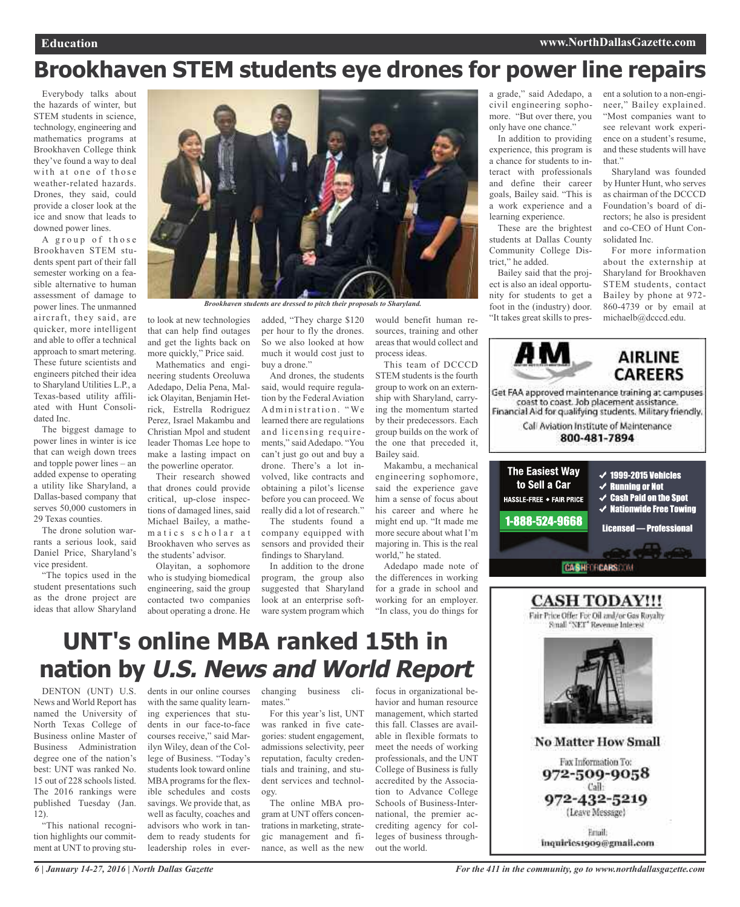# **Brookhaven STEM students eye drones for power line repairs**

Everybody talks about the hazards of winter, but STEM students in science, technology, engineering and mathematics programs at Brookhaven College think they've found a way to deal with at one of those weather-related hazards. Drones, they said, could provide a closer look at the ice and snow that leads to downed power lines.

A group of those Brookhaven STEM students spent part of their fall semester working on a feasible alternative to human assessment of damage to power lines. The unmanned aircraft, they said, are quicker, more intelligent and able to offer a technical approach to smart metering. These future scientists and engineers pitched their idea to Sharyland Utilities L.P., a Texas-based utility affiliated with Hunt Consolidated Inc.

The biggest damage to power lines in winter is ice that can weigh down trees and topple power lines – an added expense to operating a utility like Sharyland, a Dallas-based company that serves 50,000 customers in 29 Texas counties.

The drone solution warrants a serious look, said Daniel Price, Sharyland's vice president.

"The topics used in the student presentations such as the drone project are ideas that allow Sharyland



*Brookhaven students are dressed to pitch their proposals to Sharyland.*

to look at new technologies that can help find outages and get the lights back on more quickly," Price said.

Mathematics and engineering students Oreoluwa Adedapo, Delia Pena, Malick Olayitan, Benjamin Hetrick, Estrella Rodriguez Perez, Israel Makambu and Christian Mpol and student leader Thomas Lee hope to make a lasting impact on the powerline operator.

Their research showed that drones could provide critical, up-close inspections of damaged lines, said Michael Bailey, a mathematics scholar at Brookhaven who serves as the students' advisor.

Olayitan, a sophomore who is studying biomedical engineering, said the group contacted two companies about operating a drone. He

added, "They charge \$120 per hour to fly the drones. So we also looked at how much it would cost just to buy a drone."

And drones, the students said, would require regulation by the Federal Aviation Administration. "We learned there are regulations and licensing requirements," said Adedapo. "You can't just go out and buy a drone. There's a lot involved, like contracts and obtaining a pilot's license before you can proceed. We really did a lot of research."

The students found a company equipped with sensors and provided their findings to Sharyland.

In addition to the drone program, the group also suggested that Sharyland look at an enterprise software system program which

would benefit human resources, training and other areas that would collect and process ideas.

This team of DCCCD STEM students is the fourth group to work on an externship with Sharyland, carrying the momentum started by their predecessors. Each group builds on the work of the one that preceded it, Bailey said.

Makambu, a mechanical engineering sophomore, said the experience gave him a sense of focus about his career and where he might end up. "It made me more secure about what I'm majoring in. This is the real world," he stated.

Adedapo made note of the differences in working for a grade in school and working for an employer. "In class, you do things for a grade," said Adedapo, a civil engineering sophomore. "But over there, you only have one chance."

In addition to providing experience, this program is a chance for students to interact with professionals and define their career goals, Bailey said. "This is a work experience and a learning experience.

These are the brightest students at Dallas County Community College District," he added.

Bailey said that the project is also an ideal opportunity for students to get a foot in the (industry) door. "It takes great skills to pres-

ent a solution to a non-engineer," Bailey explained. "Most companies want to see relevant work experience on a student's resume, and these students will have that"

Sharyland was founded by Hunter Hunt, who serves as chairman of the DCCCD Foundation's board of directors; he also is president and co-CEO of Hunt Consolidated Inc.

For more information about the externship at Sharyland for Brookhaven STEM students, contact Bailey by phone at 972- 860-4739 or by email at michaelb@dcccd.edu.







inquiries1909@gmail.com

# **UNT's online MBA ranked 15th in nation by U.S. News and World Report**

DENTON (UNT) U.S. News and World Report has named the University of North Texas College of Business online Master of Business Administration degree one of the nation's best: UNT was ranked No. 15 out of 228 schools listed. The 2016 rankings were published Tuesday (Jan. 12).

"This national recognition highlights our commitment at UNT to proving stu-

dents in our online courses changing business cliwith the same quality learning experiences that students in our face-to-face courses receive," said Marilyn Wiley, dean of the College of Business. "Today's students look toward online MBA programs for the flexible schedules and costs savings. We provide that, as well as faculty, coaches and advisors who work in tandem to ready students for leadership roles in ever-

mates."

For this year's list, UNT was ranked in five categories: student engagement, admissions selectivity, peer reputation, faculty credentials and training, and student services and technology.

The online MBA program at UNT offers concentrations in marketing, strategic management and finance, as well as the new focus in organizational behavior and human resource management, which started this fall. Classes are available in flexible formats to meet the needs of working professionals, and the UNT College of Business is fully accredited by the Association to Advance College Schools of Business-International, the premier accrediting agency for colleges of business throughout the world.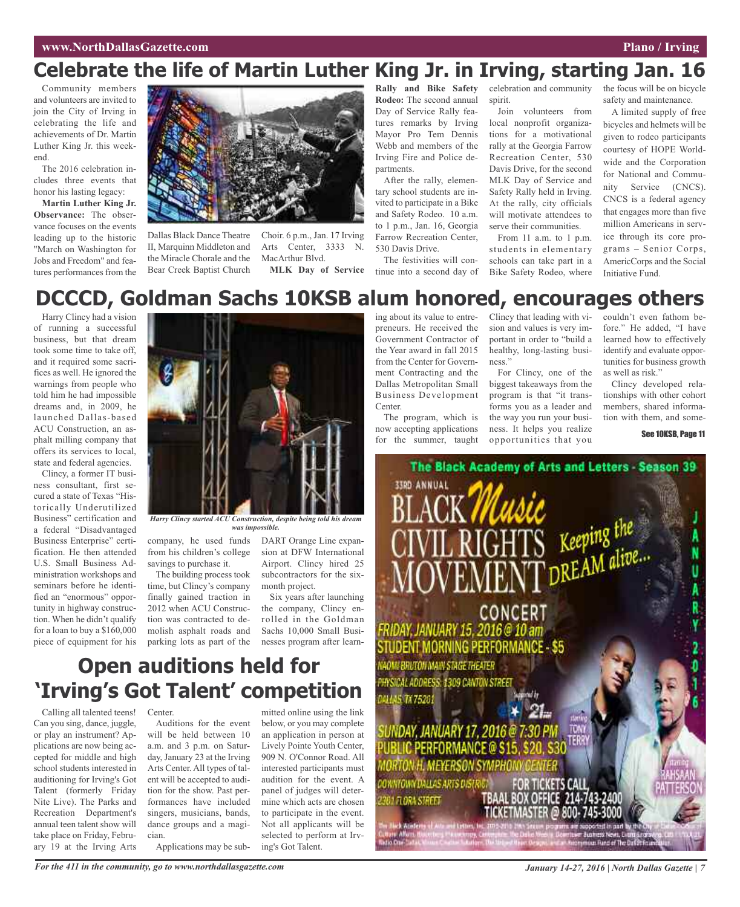#### **www.NorthDallasGazette.com Plano** / **Irving**

## **Celebrate the life of Martin Luther King Jr. in Irving, starting Jan. 16**

Community members and volunteers are invited to join the City of Irving in celebrating the life and achievements of Dr. Martin Luther King Jr. this weekend.

The 2016 celebration includes three events that honor his lasting legacy:

**Martin Luther King Jr. Observance:** The observance focuses on the events leading up to the historic "March on Washington for Jobs and Freedom" and features performances from the



Dallas Black Dance Theatre II, Marquinn Middleton and the Miracle Chorale and the Bear Creek Baptist Church

Choir. 6 p.m., Jan. 17 Irving Arts Center, 3333 N. MacArthur Blvd. **MLK Day of Service**

**Rally and Bike Safety Rodeo:** The second annual Day of Service Rally features remarks by Irving Mayor Pro Tem Dennis Webb and members of the Irving Fire and Police departments.

After the rally, elementary school students are invited to participate in a Bike and Safety Rodeo. 10 a.m. to 1 p.m., Jan. 16, Georgia Farrow Recreation Center, 530 Davis Drive.

The festivities will continue into a second day of celebration and community spirit.

Join volunteers from local nonprofit organizations for a motivational rally at the Georgia Farrow Recreation Center, 530 Davis Drive, for the second MLK Day of Service and Safety Rally held in Irving. At the rally, city officials will motivate attendees to serve their communities.

From 11 a.m. to 1 p.m. students in elementary schools can take part in a Bike Safety Rodeo, where the focus will be on bicycle safety and maintenance.

A limited supply of free bicycles and helmets will be given to rodeo participants courtesy of HOPE Worldwide and the Corporation for National and Community Service (CNCS). CNCS is a federal agency that engages more than five million Americans in service through its core programs – Senior Corps, AmericCorps and the Social Initiative Fund.

### **DCCCD, Goldman Sachs 10KSB alum honored, encourages others**

Harry Clincy had a vision of running a successful business, but that dream took some time to take off, and it required some sacrifices as well. He ignored the warnings from people who told him he had impossible dreams and, in 2009, he launched Dallas-based ACU Construction, an asphalt milling company that offers its services to local, state and federal agencies.

Clincy, a former IT business consultant, first secured a state of Texas "Historically Underutilized Business" certification and a federal "Disadvantaged Business Enterprise" certification. He then attended U.S. Small Business Administration workshops and seminars before he identified an "enormous" opportunity in highway construction. When he didn't qualify for a loan to buy a \$160,000 piece of equipment for his



*Harry Clincy started ACU Construction, despite being told his dream was impossible.*

company, he used funds from his children's college savings to purchase it.

The building process took time, but Clincy's company finally gained traction in 2012 when ACU Construction was contracted to demolish asphalt roads and DART Orange Line expansion at DFW International Airport. Clincy hired 25 subcontractors for the sixmonth project.

parking lots as part of the nesses program after learn-Six years after launching the company, Clincy enrolled in the Goldman Sachs 10,000 Small Busi-

## **Open auditions held for 'Irving's Got Talent' competition**

Calling all talented teens! Can you sing, dance, juggle, or play an instrument? Applications are now being accepted for middle and high school students interested in auditioning for Irving's Got Talent (formerly Friday Nite Live). The Parks and Recreation Department's annual teen talent show will take place on Friday, February 19 at the Irving Arts

Center.

Auditions for the event will be held between 10 a.m. and 3 p.m. on Saturday, January 23 at the Irving Arts Center. All types of talent will be accepted to audition for the show. Past performances have included singers, musicians, bands, dance groups and a magician.

Applications may be sub-

mitted online using the link below, or you may complete an application in person at Lively Pointe Youth Center, 909 N. O'Connor Road. All interested participants must audition for the event. A panel of judges will determine which acts are chosen to participate in the event. Not all applicants will be selected to perform at Irving's Got Talent.

ing about its value to entrepreneurs. He received the Government Contractor of the Year award in fall 2015 from the Center for Government Contracting and the Dallas Metropolitan Small Business Development Center.

The program, which is now accepting applications for the summer, taught Clincy that leading with vision and values is very important in order to "build a healthy, long-lasting business."

For Clincy, one of the biggest takeaways from the program is that "it transforms you as a leader and the way you run your business. It helps you realize opportunities that you

couldn't even fathom before." He added, "I have learned how to effectively identify and evaluate opportunities for business growth as well as risk."

Clincy developed relationships with other cohort members, shared information with them, and some-

See 10KSB, Page 11

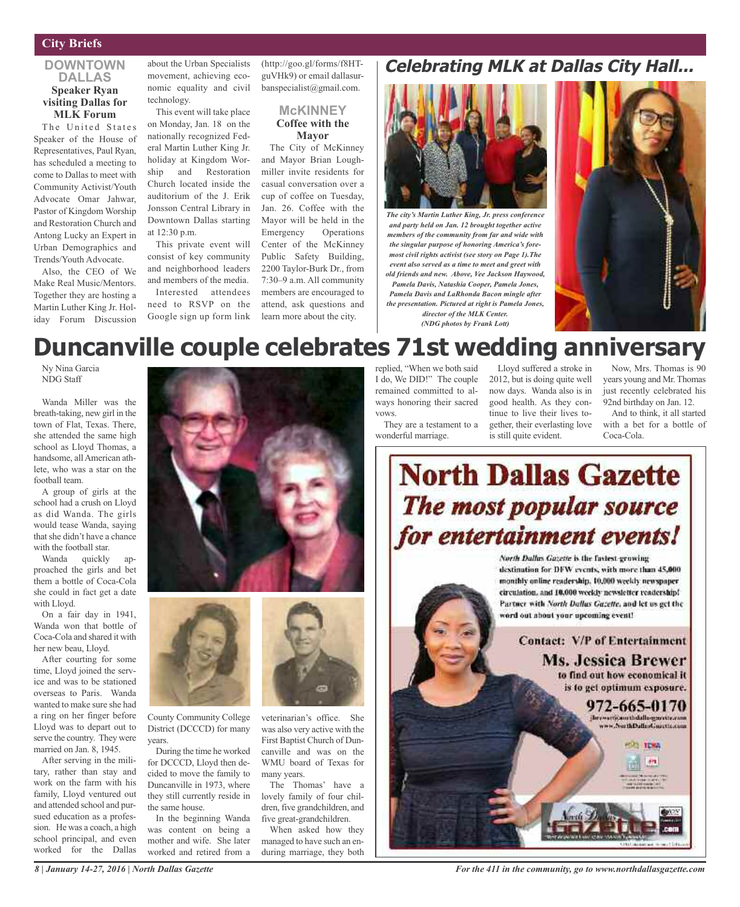#### **City Briefs**

#### **DOWNTOWN DALLAS Speaker Ryan visiting Dallas for MLK Forum**

The United States Speaker of the House of Representatives, Paul Ryan, has scheduled a meeting to come to Dallas to meet with Community Activist/Youth Advocate Omar Jahwar, Pastor of Kingdom Worship and Restoration Church and Antong Lucky an Expert in Urban Demographics and Trends/Youth Advocate.

Also, the CEO of We Make Real Music/Mentors. Together they are hosting a Martin Luther King Jr. Holiday Forum Discussion

about the Urban Specialists movement, achieving economic equality and civil technology.

This event will take place on Monday, Jan. 18 on the nationally recognized Federal Martin Luther King Jr. holiday at Kingdom Worship and Restoration Church located inside the auditorium of the J. Erik Jonsson Central Library in Downtown Dallas starting at 12:30 p.m.

This private event will consist of key community and neighborhood leaders and members of the media. Interested attendees need to RSVP on the

Google sign up form link

(http://goo.gl/forms/f8HTguVHk9) or email dallasurbanspecialist@gmail.com.

#### **McKINNEY Coffee with the Mayor**

The City of McKinney and Mayor Brian Loughmiller invite residents for casual conversation over a cup of coffee on Tuesday, Jan. 26. Coffee with the Mayor will be held in the Emergency Operations Center of the McKinney Public Safety Building, 2200 Taylor-Burk Dr., from 7:30–9 a.m. All community members are encouraged to attend, ask questions and learn more about the city.

### **Celebrating MLK at Dallas City Hall...**



*The city's Martin Luther King, Jr. press conference and party held on Jan. 12 brought together active members of the community from far and wide with the singular purpose of honoring America's foremost civil rights activist (see story on Page 1).The event also served as a time to meet and greet with old friends and new. Above, Vee Jackson Haywood, Pamela Davis, Natashia Cooper, Pamela Jones, Pamela Davis and LaRhonda Bacon mingle after the presentation. Pictured at right is Pamela Jones, director of the MLK Center. (NDG photos by Frank Lott)*



# **Duncanville couple celebrates 71st wedding anniversary**

Ny Nina Garcia NDG Staff

Wanda Miller was the breath-taking, new girl in the town of Flat, Texas. There, she attended the same high school as Lloyd Thomas, a handsome, allAmerican athlete, who was a star on the football team.

A group of girls at the school had a crush on Lloyd as did Wanda. The girls would tease Wanda, saying thatshe didn't have a chance with the football star.

Wanda quickly approached the girls and bet them a bottle of Coca-Cola she could in fact get a date with Lloyd.

On a fair day in 1941, Wanda won that bottle of Coca-Cola and shared it with her new beau, Lloyd.

After courting for some time, Lloyd joined the service and was to be stationed overseas to Paris. Wanda wanted to make sure she had a ring on her finger before Lloyd was to depart out to serve the country. They were married on Jan. 8, 1945.

After serving in the military, rather than stay and work on the farm with his family, Lloyd ventured out and attended school and pursued education as a profession. He was a coach, a high school principal, and even worked for the Dallas





County Community College District (DCCCD) for many years.

During the time he worked for DCCCD, Lloyd then decided to move the family to Duncanville in 1973, where they still currently reside in the same house.

In the beginning Wanda was content on being a mother and wife. She later worked and retired from a

veterinarian's office. She was also very active with the First Baptist Church of Duncanville and was on the WMU board of Texas for many years.

The Thomas' have a lovely family of four children, five grandchildren, and five great-grandchildren.

When asked how they managed to have such an enduring marriage, they both

replied, "When we both said I do, We DID!" The couple remained committed to always honoring their sacred vows.

They are a testament to a wonderful marriage.

Lloyd suffered a stroke in 2012, but is doing quite well now days. Wanda also is in good health. As they continue to live their lives together, their everlasting love is still quite evident.

Now, Mrs. Thomas is 90 years young and Mr. Thomas just recently celebrated his 92nd birthday on Jan. 12.

And to think, it all started with a bet for a bottle of Coca-Cola.



destination for DFW events, with more than 45,000. monthly online readership. 10,000 weekly newspaper circulation, and 10,000 weekly newsletter readership! Partner with North Dallas Gazette, and let us get the word out about your upcoming event!

> **Contact: V/P of Entertainment** Ms. Jessica Brewer to find out how economical it is to get optimum exposure.





*8 | January 14-27, 2016 | North Dallas Gazette*

*For the 411 in the community, go to www.northdallasgazette.com*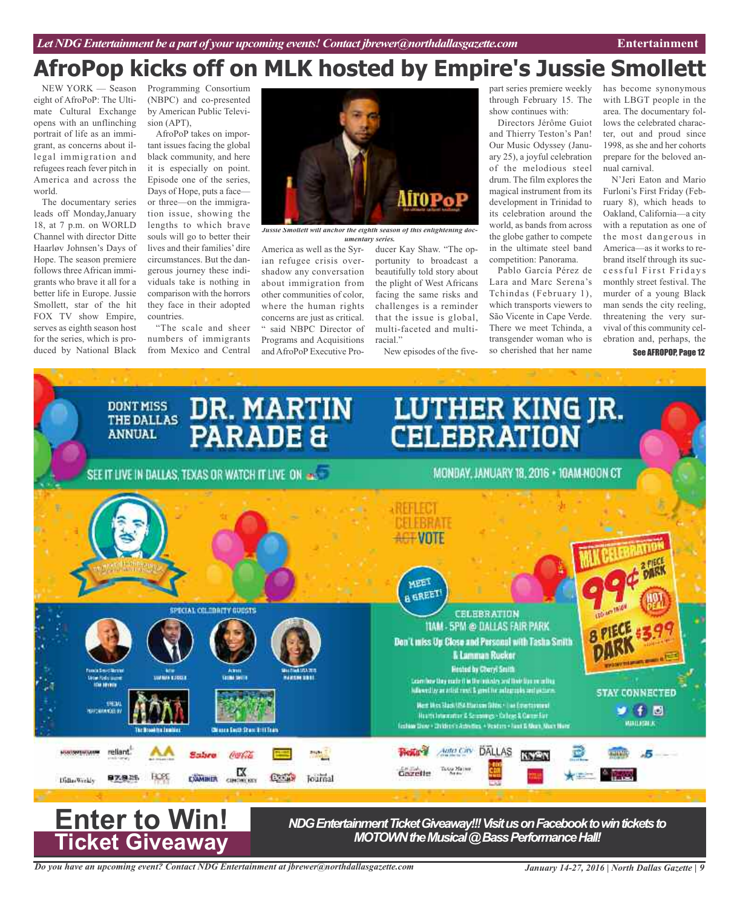# **AfroPop kicks off on MLK hosted by Empire's Jussie Smollett**

NEW YORK — Season eight of AfroPoP: The Ultimate Cultural Exchange opens with an unflinching portrait of life as an immigrant, as concerns about illegal immigration and refugees reach fever pitch in America and across the world.

The documentary series leads off Monday,January 18, at 7 p.m. on WORLD Channel with director Ditte Haarløv Johnsen's Days of Hope. The season premiere follows three African immigrants who brave it all for a better life in Europe. Jussie Smollett, star of the hit FOX TV show Empire, serves as eighth season host for the series, which is produced by National Black

Programming Consortium (NBPC) and co-presented by American Public Television (APT),

AfroPoP takes on important issues facing the global black community, and here it is especially on point. Episode one of the series, Days of Hope, puts a face or three—on the immigration issue, showing the lengths to which brave souls will go to better their lives and their families' dire circumstances. But the dangerous journey these individuals take is nothing in comparison with the horrors they face in their adopted countries.

"The scale and sheer numbers of immigrants from Mexico and Central



*Jussie Smollett will anchor the eighth season of this enlightening documentary series.*

America as well as the Syrian refugee crisis overshadow any conversation about immigration from other communities of color, where the human rights concerns are just as critical. said NBPC Director of Programs and Acquisitions and AfroPoP Executive Pro-

ducer Kay Shaw. "The opportunity to broadcast a beautifully told story about the plight of West Africans facing the same risks and challenges is a reminder that the issue is global, multi-faceted and multiracial."

New episodes of the five-

part series premiere weekly through February 15. The show continues with:

Directors Jérôme Guiot and Thierry Teston's Pan! Our Music Odyssey (January 25), a joyful celebration of the melodious steel drum. The film explores the magical instrument from its development in Trinidad to its celebration around the world, as bands from across the globe gather to compete in the ultimate steel band competition: Panorama.

Pablo García Pérez de Lara and Marc Serena's Tchindas (February 1), which transports viewers to São Vicente in Cape Verde. There we meet Tchinda, a transgender woman who is so cherished that her name

has become synonymous with LBGT people in the area. The documentary follows the celebrated character, out and proud since 1998, as she and her cohorts prepare for the beloved annual carnival.

N'Jeri Eaton and Mario Furloni's First Friday (February 8), which heads to Oakland, California—a city with a reputation as one of the most dangerous in America—as it works to rebrand itself through its succ e s s ful First Fridays monthly street festival. The murder of a young Black man sends the city reeling, threatening the very survival of this community celebration and, perhaps, the

See AFROPOP, Page 12



*Do you have an upcoming event? Contact NDG Entertainment at jbrewer@northdallasgazette.com*

*January 14-27, 2016 | North Dallas Gazette | 9*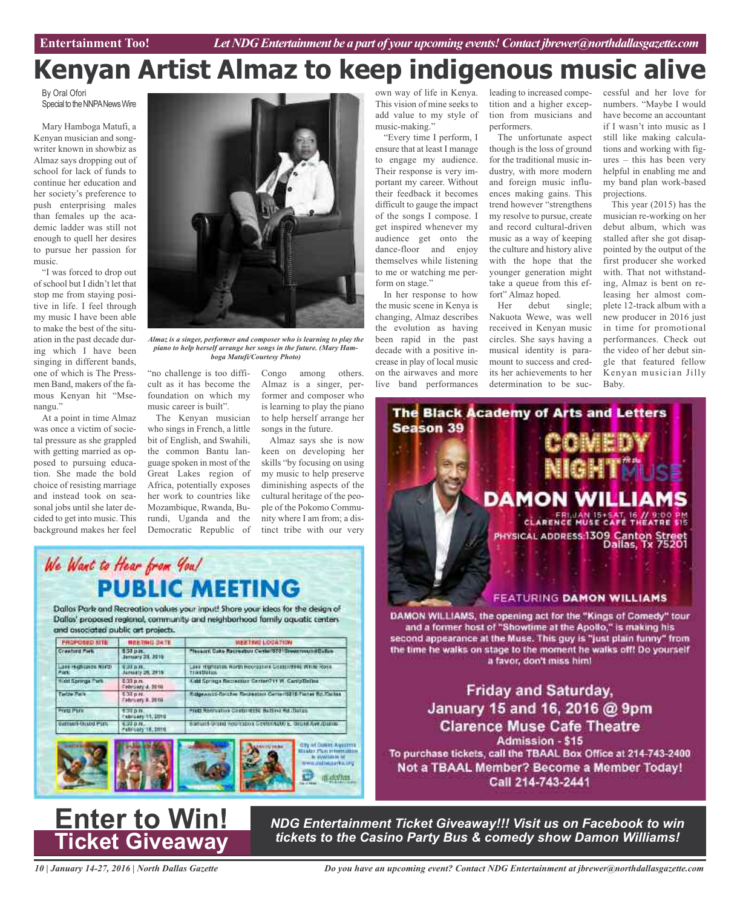# **Kenyan Artist Almaz to keep indigenous music alive**

By Oral Ofori Special to the NNPA News Wire

Mary Hamboga Matufi, a Kenyan musician and songwriter known in showbiz as Almaz says dropping out of school for lack of funds to continue her education and her society's preference to push enterprising males than females up the academic ladder was still not enough to quell her desires to pursue her passion for music.

"I was forced to drop out of school but I didn't let that stop me from staying positive in life. I feel through my music I have been able to make the best of the situation in the past decade during which I have been singing in different bands, one of which is The Pressmen Band, makers of the famous Kenyan hit "Msenangu."

At a point in time Almaz was once a victim of societal pressure as she grappled with getting married as opposed to pursuing education. She made the bold choice of resisting marriage and instead took on seasonal jobs until she later decided to get into music. This background makes her feel

We Want to Hear from You!

and associated public art projects.

**MEETING GATE** 

8:30 p.m.<br>January 28, 2010

1:32 р.н.<br>January 28, 2818 1:33 p.m.<br>February 4, 2010

9:30 p.m.<br>Fabruary 11, 2010

suppliers.<br>February 18, 2016

 $0.35 \text{ m}$ February #, 2018

PROPOSED STE

Lane registance North

**Kitt Springe Park** 

Sattuers District Ports

**Tarita Para** 

**FOLD PION** 

Crawfund Midk



*Almaz is a singer, performer and composer who is learning to play the piano to help herself arrange her songs in the future. (Mary Hamboga Matufi/Courtesy Photo)*

WEETING LOCATION

acreation Center/ST315

LEAR HISTORIAN NORTH MODOLETON CONSENTANT WITH ROOK

Edgewood-Bricher Recreation Center(STIE Florier Rd. Center)

Samuel Grand Recreators Centering (0) E. Grand Ave (Dalvis

Kidd Springs Recreation German? H.W. Carlly/Define

Fred Roomation Contentable Belting Rd (Datas

"no challenge is too difficult as it has become the foundation on which my music career is built".

The Kenyan musician who sings in French, a little bit of English, and Swahili, the common Bantu language spoken in most of the Great Lakes region of Africa, potentially exposes her work to countries like Mozambique, Rwanda, Burundi, Uganda and the Democratic Republic of

**PUBLIC MEETING** 

Dallas Park and Recreation values your input! Share your ideas for the design of

Dallas' proposed regional, community and neighborhood family aquatic centers

Congo among others. Almaz is a singer, performer and composer who is learning to play the piano to help herself arrange her songs in the future.

Almaz says she is now keen on developing her skills "by focusing on using my music to help preserve diminishing aspects of the cultural heritage of the people of the Pokomo Community where I am from; a distinct tribe with our very

> **City of Dokes Aquilities Bistar Plun min**

<sup>22</sup> matthas

. In available of<br>murations are way

own way of life in Kenya. This vision of mine seeks to add value to my style of music-making."

"Every time I perform, I ensure that at least I manage to engage my audience. Their response is very important my career. Without their feedback it becomes difficult to gauge the impact of the songs I compose. I get inspired whenever my audience get onto the dance-floor and enjoy themselves while listening to me or watching me perform on stage."

In her response to how the music scene in Kenya is changing, Almaz describes the evolution as having been rapid in the past decade with a positive increase in play of local music on the airwaves and more live band performances

leading to increased competition and a higher exception from musicians and performers.

The unfortunate aspect though is the loss of ground for the traditional music industry, with more modern and foreign music influences making gains. This trend however "strengthens my resolve to pursue, create and record cultural-driven music as a way of keeping the culture and history alive with the hope that the younger generation might take a queue from this effort" Almaz hoped.

Her debut single; Nakuota Wewe, was well received in Kenyan music circles. She says having a musical identity is paramount to success and credits her achievements to her determination to be suc-

cessful and her love for numbers. "Maybe I would have become an accountant if I wasn't into music as I still like making calculations and working with figures – this has been very helpful in enabling me and my band plan work-based projections.

This year (2015) has the musician re-working on her debut album, which was stalled after she got disappointed by the output of the first producer she worked with. That not withstanding, Almaz is bent on releasing her almost complete 12-track album with a new producer in 2016 just in time for promotional performances. Check out the video of her debut single that featured fellow Kenyan musician Jilly Baby.



## **Enter to Win! Ticket Giveaway**

*NDG Entertainment Ticket Giveaway!!! Visit us on Facebook to win tickets to the Casino Party Bus & comedy show Damon Williams!*

*10 | January 14-27, 2016 | North Dallas Gazette*

*Do you have an upcoming event? Contact NDG Entertainment at jbrewer@northdallasgazette.com*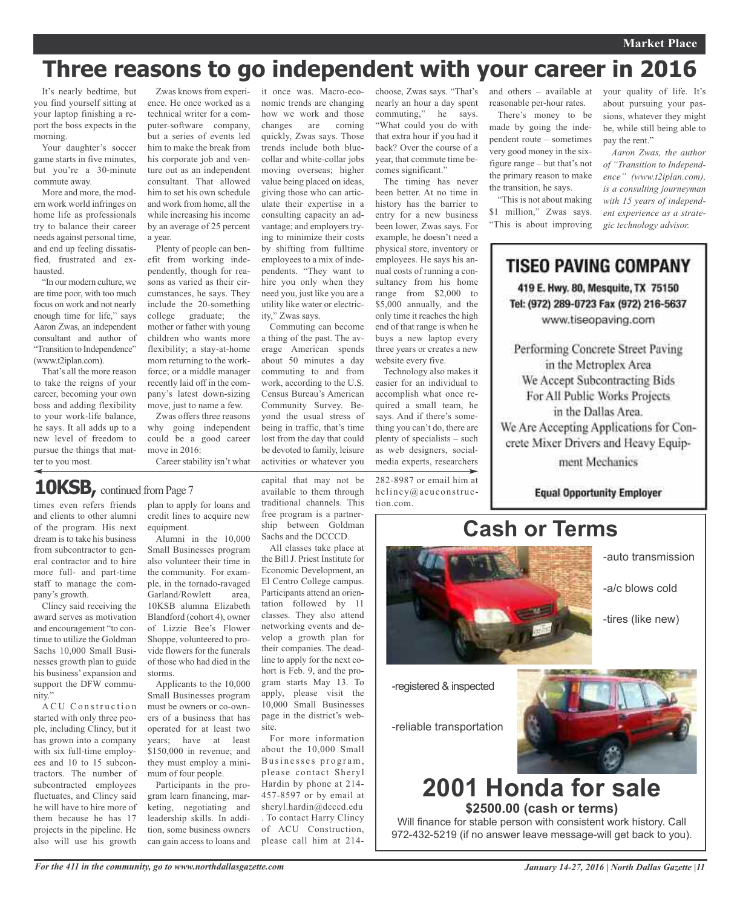# **Three reasons to go independent with your career in 2016**

It's nearly bedtime, but you find yourself sitting at your laptop finishing a report the boss expects in the morning.

Your daughter's soccer game starts in five minutes, but you're a 30-minute commute away.

More and more, the modern work world infringes on home life as professionals try to balance their career needs against personal time, and end up feeling dissatisfied, frustrated and exhausted.

"In our modern culture, we are time poor, with too much focus on work and not nearly enough time for life," says Aaron Zwas, an independent consultant and author of "Transition to Independence" (www.t2iplan.com).

That's all the more reason to take the reigns of your career, becoming your own boss and adding flexibility to your work-life balance, he says. It all adds up to a new level of freedom to pursue the things that matter to you most.

ence. He once worked as a technical writer for a computer-software company, but a series of events led him to make the break from his corporate job and venture out as an independent consultant. That allowed him to set his own schedule and work from home, all the while increasing his income by an average of 25 percent a year.

Plenty of people can benefit from working independently, though for reasons as varied as their circumstances, he says. They include the 20-something college graduate; the mother or father with young children who wants more flexibility; a stay-at-home mom returning to the workforce; or a middle manager recently laid off in the company's latest down-sizing move, just to name a few.

Zwas offers three reasons why going independent could be a good career move in 2016:

Career stability isn't what

10KSB, continued from Page 7

times even refers friends and clients to other alumni of the program. His next dream is to take his business from subcontractor to general contractor and to hire more full- and part-time staff to manage the company's growth.

Clincy said receiving the award serves as motivation and encouragement "to continue to utilize the Goldman Sachs 10,000 Small Businesses growth plan to guide his business' expansion and support the DFW community."

A CU Construction started with only three people, including Clincy, but it has grown into a company with six full-time employees and 10 to 15 subcontractors. The number of subcontracted employees fluctuates, and Clincy said he will have to hire more of them because he has 17 projects in the pipeline. He also will use his growth

plan to apply for loans and credit lines to acquire new equipment.

Alumni in the 10,000 Small Businesses program also volunteer their time in the community. For example, in the tornado-ravaged Garland/Rowlett area, 10KSB alumna Elizabeth Blandford (cohort 4), owner of Lizzie Bee's Flower Shoppe, volunteered to provide flowers for the funerals of those who had died in the storms.

Applicants to the 10,000 Small Businesses program must be owners or co-owners of a business that has operated for at least two years; have at least \$150,000 in revenue; and they must employ a minimum of four people.

Participants in the program learn financing, marketing, negotiating and leadership skills. In addition, some business owners can gain access to loans and

Zwas knows from experi-it once was. Macro-economic trends are changing how we work and those changes are coming quickly, Zwas says. Those trends include both bluecollar and white-collar jobs moving overseas; higher value being placed on ideas, giving those who can articulate their expertise in a consulting capacity an advantage; and employers trying to minimize their costs by shifting from fulltime employees to a mix of independents. "They want to hire you only when they need you, just like you are a utility like water or electricity," Zwas says.

Commuting can become a thing of the past. The average American spends about 50 minutes a day commuting to and from work, according to the U.S. Census Bureau's American Community Survey. Beyond the usual stress of being in traffic, that's time lost from the day that could be devoted to family, leisure activities or whatever you

capital that may not be available to them through traditional channels. This free program is a partnership between Goldman Sachs and the DCCCD.

All classes take place at the Bill J. Priest Institute for Economic Development, an El Centro College campus. Participants attend an orientation followed by 11 classes. They also attend networking events and develop a growth plan for their companies. The deadline to apply for the next cohort is Feb. 9, and the program starts May 13. To apply, please visit the 10,000 Small Businesses page in the district's website.

For more information about the 10,000 Small Businesses program, please contact Sheryl Hardin by phone at 214- 457-8597 or by email at sheryl.hardin@dcccd.edu . To contact Harry Clincy of ACU Construction, please call him at 214choose, Zwas says. "That's nearly an hour a day spent commuting," he says. "What could you do with that extra hour if you had it back? Over the course of a year, that commute time becomes significant."

The timing has never been better. At no time in history has the barrier to entry for a new business been lower, Zwas says. For example, he doesn't need a physical store, inventory or employees. He says his annual costs of running a consultancy from his home range from \$2,000 to \$5,000 annually, and the only time it reaches the high end of that range is when he buys a new laptop every three years or creates a new website every five.

Technology also makes it easier for an individual to accomplish what once required a small team, he says. And if there's something you can't do, there are plenty of specialists – such as web designers, socialmedia experts, researchers

282-8987 or email him at hclincy@acuconstruction.com.

and others – available at reasonable per-hour rates.

There's money to be made by going the independent route – sometimes very good money in the sixfigure range – but that's not the primary reason to make the transition, he says.

"This is not about making \$1 million," Zwas says. "This is about improving

your quality of life. It's about pursuing your passions, whatever they might be, while still being able to pay the rent."

*Aaron Zwas, the author of "Transition to Independence" (www.t2iplan.com), is a consulting journeyman with 15 years of independent experience as a strategic technology advisor.*

**TISEO PAVING COMPANY** 

419 E. Hwy. 80, Mesquite, TX 75150 Tel: (972) 289-0723 Fax (972) 216-5637 www.tiseopaving.com



-registered & inspected

-reliable transportation



### **2001 Honda for sale \$2500.00 (cash or terms)**

Will finance for stable person with consistent work history. Call 972-432-5219 (if no answer leave message-will get back to you).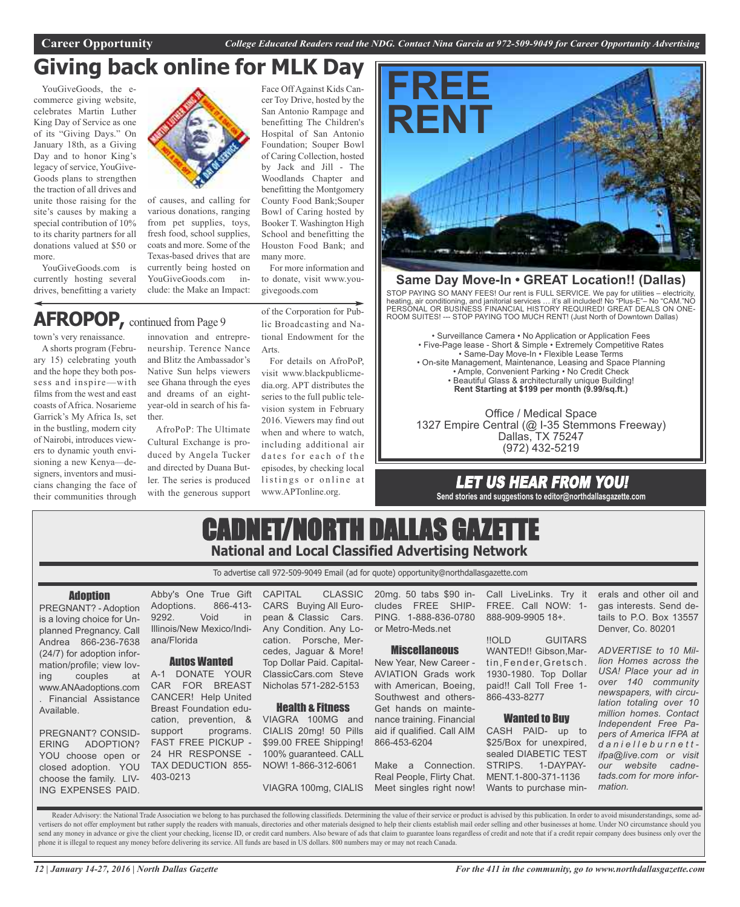### Face Off Against Kids Can-**Giving back online for MLK Day**

YouGiveGoods, the ecommerce giving website, celebrates Martin Luther King Day of Service as one of its "Giving Days." On January 18th, as a Giving Day and to honor King's legacy of service, YouGive-Goods plans to strengthen the traction of all drives and unite those raising for the site's causes by making a special contribution of 10% to its charity partners for all donations valued at \$50 or more.

YouGiveGoods.com is currently hosting several drives, benefitting a variety



of causes, and calling for various donations, ranging from pet supplies, toys, fresh food, school supplies, coats and more. Some of the Texas-based drives that are currently being hosted on YouGiveGoods.com include: the Make an Impact:

### **AFROPOP,** continued from Page <sup>9</sup>

town's very renaissance.

A shorts program (February 15) celebrating youth and the hope they both possess and inspire—with films from the west and east coasts of Africa. Nosarieme Garrick's My Africa Is, set in the bustling, modern city of Nairobi, introduces viewers to dynamic youth envisioning a new Kenya—designers, inventors and musicians changing the face of their communities through

innovation and entrepreneurship. Terence Nance and Blitz the Ambassador's Native Sun helps viewers see Ghana through the eyes and dreams of an eightyear-old in search of his father.

AfroPoP: The Ultimate Cultural Exchange is produced by Angela Tucker and directed by Duana Butler. The series is produced with the generous support of the Corporation for Public Broadcasting and National Endowment for the Arts.

For more information and to donate, visit www.you-

many more.

givegoods.com

cer Toy Drive, hosted by the San Antonio Rampage and benefitting The Children's Hospital of San Antonio Foundation; Souper Bowl of Caring Collection, hosted by Jack and Jill - The Woodlands Chapter and benefitting the Montgomery County Food Bank;Souper Bowl of Caring hosted by Booker T. Washington High School and benefitting the Houston Food Bank; and

For details on AfroPoP, visit www.blackpublicmedia.org. APT distributes the series to the full public television system in February 2016. Viewers may find out when and where to watch, including additional air dates for each of the episodes, by checking local listings or online at www.APTonline.org.



#### **Same Day Move-In • GREAT Location!! (Dallas)**

STOP PAYING SO MANY FEES! Our rent is FULL SERVICE. We pay for utilities – electricity, heating, air conditioning, and janitorial services … it's all included! No "Plus-E"– No "CAM."NO PERSONAL OR BUSINESS FINANCIAL HISTORY REQUIRED! GREAT DEALS ON ONE-ROOM SUITES! --- STOP PAYING TOO MUCH RENT! (Just North of Downtown Dallas)

• Surveillance Camera • No Application or Application Fees • Five-Page lease - Short & Simple • Extremely Competitive Rates • Same-Day Move-In • Flexible Lease Terms • On-site Management, Maintenance, Leasing and Space Planning • Ample, Convenient Parking • No Credit Check • Beautiful Glass & architecturally unique Building! **Rent Starting at \$199 per month (9.99/sq.ft.)**

Office / Medical Space 1327 Empire Central (@ I-35 Stemmons Freeway) Dallas, TX 75247 (972) 432-5219

### LET US HEAR FROM YOU! **Send stories and suggestions to editor@northdallasgazette.com**

CADNET/NORTH DALLAS GAZETT **National and Local Classified Advertising Network**

To advertise call 972-509-9049 Email (ad for quote) opportunity@northdallasgazette.com

#### **Adoption**

PREGNANT? - Adoption is a loving choice for Unplanned Pregnancy. Call Andrea 866-236-7638 (24/7) for adoption information/profile; view loving couples at www.ANAadoptions.com . Financial Assistance Available.

PREGNANT? CONSID-ERING ADOPTION? YOU choose open or closed adoption. YOU choose the family. LIV-ING EXPENSES PAID.

Abby's One True Gift CAPITAL CLASSIC Adoptions. 866-413- 9292. Void in Illinois/New Mexico/Indiana/Florida

#### Autos Wanted

A-1 DONATE YOUR CAR FOR BREAST CANCER! Help United Breast Foundation education, prevention, & support programs. FAST FREE PICKUP - 24 HR RESPONSE - TAX DEDUCTION 855- 403-0213

CARS Buying All European & Classic Cars. Any Condition. Any Location. Porsche, Mercedes, Jaguar & More! Top Dollar Paid. Capital-ClassicCars.com Steve Nicholas 571-282-5153

#### Health & Fitness

VIAGRA 100MG and CIALIS 20mg! 50 Pills \$99.00 FREE Shipping! 100% guaranteed. CALL NOW! 1-866-312-6061

VIAGRA 100mg, CIALIS

20mg. 50 tabs \$90 in-Call LiveLinks. Try it cludes FREE SHIP-PING. 1-888-836-0780 or Metro-Meds.net

#### **Miscellaneous**

New Year, New Career - AVIATION Grads work with American, Boeing, Southwest and others-Get hands on maintenance training. Financial aid if qualified. Call AIM 866-453-6204

Make a Connection. Real People, Flirty Chat. Meet singles right now!

FREE. Call NOW: 1- 888-909-9905 18+.

!!OLD GUITARS WANTED!! Gibson, Martin, Fender, Gretsch. 1930-1980. Top Dollar paid!! Call Toll Free 1- 866-433-8277

#### Wanted to Buy

CASH PAID- up to \$25/Box for unexpired, sealed DIABETIC TEST STRIPS. 1-DAYPAY-MENT.1-800-371-1136 Wants to purchase minerals and other oil and gas interests. Send details to P.O. Box 13557 Denver, Co. 80201

*ADVERTISE to 10 Million Homes across the USA! Place your ad in over 140 community newspapers, with circulation totaling over 10 million homes. Contact Independent Free Papers of America IFPA at d a n i e l l e b u r n e t t ifpa@live.com or visit our website cadnetads.com for more information.*

Reader Advisory: the National Trade Association we belong to has purchased the following classifieds. Determining the value of their service or product is advised by this publication. In order to avoid misunderstandings, s vertisers do not offer employment but rather supply the readers with manuals, directories and other materials designed to help their clients establish mail order selling and other businesses at home. Under NO circumstance send any money in advance or give the client your checking, license ID, or credit card numbers. Also beware of ads that claim to guarantee loans regardless of credit and note that if a credit repair company does business o phone it is illegal to request any money before delivering its service. All funds are based in US dollars. 800 numbers may or may not reach Canada.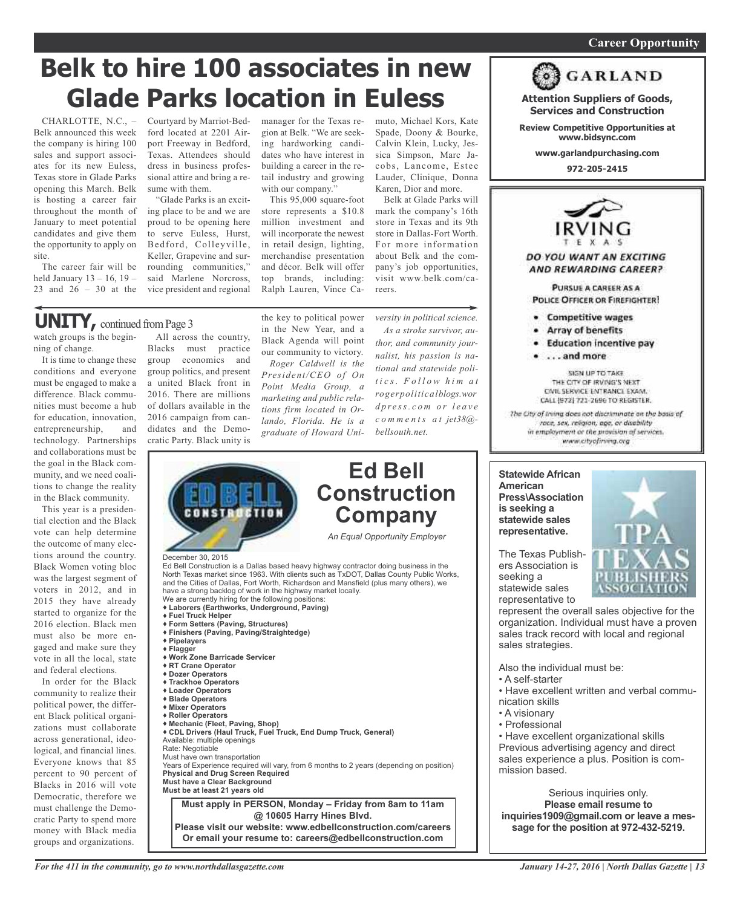#### *On a quest for qualified candidates? Contact Nina Garcia at 972-509-9049* **Career Opportunity**

# **Belk to hire 100 associates in new Glade Parks location in Euless**

CHARLOTTE, N.C., – Belk announced this week the company is hiring 100 sales and support associates for its new Euless, Texas store in Glade Parks opening this March. Belk is hosting a career fair throughout the month of January to meet potential candidates and give them the opportunity to apply on site.

The career fair will be held January 13 – 16, 19 – 23 and 26 – 30 at the Courtyard by Marriot-Bedford located at 2201 Airport Freeway in Bedford, Texas. Attendees should dress in business professional attire and bring a resume with them.

"Glade Parks is an exciting place to be and we are proud to be opening here to serve Euless, Hurst, Bedford, Colleyville, Keller, Grapevine and surrounding communities," said Marlene Norcross, vice president and regional

manager for the Texas region at Belk. "We are seeking hardworking candidates who have interest in building a career in the retail industry and growing with our company."

This 95,000 square-foot store represents a \$10.8 million investment and will incorporate the newest in retail design, lighting, merchandise presentation and décor. Belk will offer top brands, including: Ralph Lauren, Vince Ca-

the key to political power in the New Year, and a Black Agenda will point our community to victory. *Roger Caldwell is the President/CEO of On*

muto, Michael Kors, Kate Spade, Doony & Bourke, Calvin Klein, Lucky, Jessica Simpson, Marc Jacobs, Lancome, Estee Lauder, Clinique, Donna Karen, Dior and more.

Belk at Glade Parks will mark the company's 16th store in Texas and its 9th store in Dallas-Fort Worth. For more information about Belk and the company's job opportunities, visit www.belk.com/careers.

*versity in political science. As a stroke survivor, author, and community journalist, his passion is national and statewide poli-*

### **UNITY**, continued from Page 3

watch groups is the beginning of change.

It is time to change these conditions and everyone must be engaged to make a difference. Black communities must become a hub for education, innovation, entrepreneurship, and technology. Partnerships and collaborations must be the goal in the Black community, and we need coalitions to change the reality in the Black community.

This year is a presidential election and the Black vote can help determine the outcome of many elections around the country. Black Women voting bloc was the largest segment of voters in 2012, and in 2015 they have already started to organize for the 2016 election. Black men must also be more engaged and make sure they vote in all the local, state and federal elections.

In order for the Black community to realize their political power, the different Black political organizations must collaborate across generational, ideological, and financial lines. Everyone knows that 85 percent to 90 percent of Blacks in 2016 will vote Democratic, therefore we must challenge the Democratic Party to spend more money with Black media groups and organizations.

All across the country, Blacks must practice group economics and group politics, and present a united Black front in 2016. There are millions of dollars available in the 2016 campaign from candidates and the Democratic Party. Black unity is

*Point Media Group, a marketing and public relations firm located in Orlando, Florida. He is a graduate of Howard Unit i c s . F o l l o w h i m a t rogerpoliticalblogs.wor d p r e ss. c o m o r l e a v e c o m m e n t s a t jet38@ bellsouth.net.* **Ed Bell Construction Company** *An Equal Opportunity Employer*

 Ed Bell Construction is a Dallas based heavy highway contractor doing business in the<br>North Texas market since 1963. With clients such as TxDOT, Dallas County Public Wo<mark>l</mark> December 30, 2015 North Texas market since 1963. With clients such as TxDOT, Dallas County Public Works, and the Cities of Dallas, Fort Worth, Richardson and Mansfield (plus many others), we have a strong backlog of work in the highway market locally. We are currently hiring for the following positions:

◆ Work Zone Barricade Servicer<br>◆ RT Crane Operator **P Dozer Operators M Loader Operators** ▼ Blade Operators<br>♦ Mixer Operators **Mechanic (Fleet, Paving, Shop) Fuel Truck Helper Form Setters (Paving, Structures) Finishers (Paving, Paving/Straightedge) Pipelayers Flagger Work Zone Barricade Servicer Trackhoe Operators Blade Operators Roller Operators CDL Drivers (Haul Truck, Fuel Truck, End Dump Truck, General)**

**Laborers (Earthworks, Underground, Paving)**

Available: multiple openings Rate: Negotiable Must have own transportation Years of Experience required will vary, from 6 months to 2 years (depending on position) **Physical and Drug Screen Required Must have a Clear Background Must be at least 21 years old Must apply in PERSON, Monday – Friday from 8am to 11am @ 10605 Harry Hines Blvd. Please visit our website: www.edbellconstruction.com/careers**

**Or email your resume to: careers@edbellconstruction.com**



- 
- Competitive wages · Array of benefits
- · Education incentive pay

**Attention Suppliers of Goods, Services and Construction Review Competitive Opportunities at www.bidsync.com www.garlandpurchasing.com 972-205-2415**

**GARLAND** 

. . . . and more

SIGN UP TO TAKE THE CITY OF IRVING'S NEXT CIVIL SERVICE ENTRANCE EXAM. CALL (972) 721-2696 TO REGISTER.

The City of Irving does not discriminate on the basis of race, sex, religion, age, or disability in employment or the provision of services. www.cityofirving.org

**Statewide African American Press\Association is seeking a statewide sales representative.**



The Texas Publishers Association is seeking a statewide sales representative to

represent the overall sales objective for the organization. Individual must have a proven sales track record with local and regional sales strategies.

Also the individual must be:

- A self-starter
- Have excellent written and verbal communication skills
- A visionary
- Professional

• Have excellent organizational skills Previous advertising agency and direct sales experience a plus. Position is commission based.

Serious inquiries only. **Please email resume to inquiries1909@gmail.com or leave a message for the position at 972-432-5219.**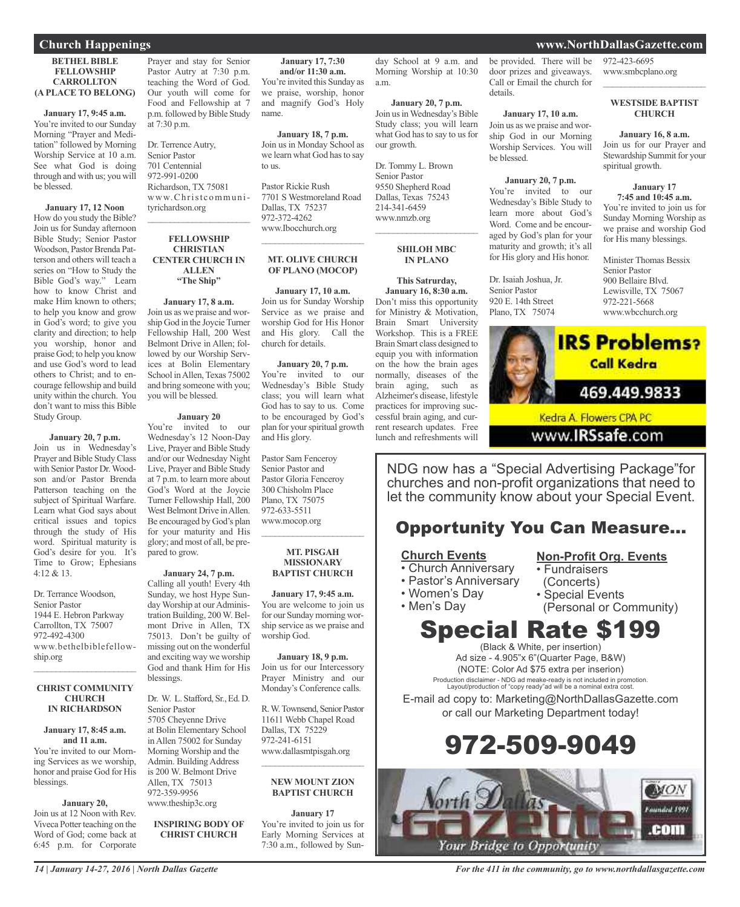#### **BETHEL BIBLE FELLOWSHIP CARROLLTON (A PLACE TO BELONG)**

**January 17, 9:45 a.m.** You're invited to our Sunday Morning "Prayer and Meditation" followed by Morning Worship Service at 10 a.m. See what God is doing through and with us; you will be blessed.

**January 17, 12 Noon** How do you study the Bible? Join us for Sunday afternoon Bible Study; Senior Pastor Woodson, Pastor Brenda Patterson and others will teach a series on "How to Study the Bible God's way." Learn how to know Christ and make Him known to others; to help you know and grow in God's word; to give you clarity and direction; to help you worship, honor and praise God; to help you know and use God's word to lead others to Christ; and to encourage fellowship and build unity within the church. You don't want to miss this Bible Study Group.

#### **January 20, 7 p.m.**

Join us in Wednesday's Prayer and Bible Study Class with Senior Pastor Dr.Woodson and/or Pastor Brenda Patterson teaching on the subject of Spiritual Warfare. Learn what God says about critical issues and topics through the study of His word. Spiritual maturity is God's desire for you. It's Time to Grow; Ephesians 4:12 & 13.

Dr. Terrance Woodson, Senior Pastor 1944 E. Hebron Parkway Carrollton, TX 75007 972-492-4300 www.bethelbiblefellowship.org  $\overline{\phantom{a}}$  ,  $\overline{\phantom{a}}$  ,  $\overline{\phantom{a}}$  ,  $\overline{\phantom{a}}$  ,  $\overline{\phantom{a}}$  ,  $\overline{\phantom{a}}$  ,  $\overline{\phantom{a}}$  ,  $\overline{\phantom{a}}$  ,  $\overline{\phantom{a}}$  ,  $\overline{\phantom{a}}$  ,  $\overline{\phantom{a}}$  ,  $\overline{\phantom{a}}$  ,  $\overline{\phantom{a}}$  ,  $\overline{\phantom{a}}$  ,  $\overline{\phantom{a}}$  ,  $\overline{\phantom{a}}$ 

#### **CHRIST COMMUNITY CHURCH IN RICHARDSON**

#### **January 17, 8:45 a.m. and 11 a.m.** You're invited to our Morning Services as we worship, honor and praise God for His blessings.

#### **January 20,**

Join us at 12 Noon with Rev. Viveca Potter teaching on the Word of God; come back at 6:45 p.m. for Corporate

Prayer and stay for Senior Pastor Autry at 7:30 p.m. teaching the Word of God. Our youth will come for Food and Fellowship at 7 p.m. followed by Bible Study at 7:30 p.m.

Dr. Terrence Autry, Senior Pastor 701 Centennial 972-991-0200 Richardson, TX 75081 www.Christcommunityrichardson.org  $\overline{\phantom{a}}$  ,  $\overline{\phantom{a}}$  ,  $\overline{\phantom{a}}$  ,  $\overline{\phantom{a}}$  ,  $\overline{\phantom{a}}$  ,  $\overline{\phantom{a}}$  ,  $\overline{\phantom{a}}$  ,  $\overline{\phantom{a}}$  ,  $\overline{\phantom{a}}$  ,  $\overline{\phantom{a}}$  ,  $\overline{\phantom{a}}$  ,  $\overline{\phantom{a}}$  ,  $\overline{\phantom{a}}$  ,  $\overline{\phantom{a}}$  ,  $\overline{\phantom{a}}$  ,  $\overline{\phantom{a}}$ 

#### **FELLOWSHIP CHRISTIAN CENTER CHURCH IN ALLEN "The Ship"**

#### **January 17, 8 a.m.**

Join us as we praise and worship God in the Joycie Turner Fellowship Hall, 200 West Belmont Drive in Allen; followed by our Worship Services at Bolin Elementary School in Allen, Texas 75002 and bring someone with you; you will be blessed.

#### **January 20**

You're invited to our Wednesday's 12 Noon-Day Live, Prayer and Bible Study and/or our Wednesday Night Live, Prayer and Bible Study at 7 p.m. to learn more about God's Word at the Joycie Turner Fellowship Hall, 200 West Belmont Drive in Allen. Be encouraged by God's plan for your maturity and His glory; and most of all, be prepared to grow.

#### **January 24, 7 p.m.**

Calling all youth! Every 4th Sunday, we host Hype Sunday Worship at our Administration Building, 200 W. Belmont Drive in Allen, TX 75013. Don't be guilty of missing out on the wonderful and exciting way we worship God and thank Him for His blessings.

Dr. W. L. Stafford, Sr., Ed. D. Senior Pastor 5705 Cheyenne Drive at Bolin Elementary School in Allen 75002 for Sunday Morning Worship and the Admin. Building Address is 200 W. Belmont Drive Allen, TX 75013 972-359-9956 www.theship3c.org

#### **INSPIRING BODY OF CHRIST CHURCH**

**January 17, 7:30 and/or 11:30 a.m.** You're invited this Sunday as we praise, worship, honor and magnify God's Holy name.

a.m.

our growth.

Join usinWednesday's Bible Study class; you will learn what God has to say to us for

 $\overline{\phantom{a}}$  , and the set of the set of the set of the set of the set of the set of the set of the set of the set of the set of the set of the set of the set of the set of the set of the set of the set of the set of the s

**SHILOH MBC IN PLANO**

**This Satrurday, January 16, 8:30 a.m.** Don't miss this opportunity for Ministry & Motivation, Brain Smart University Workshop. This is a FREE Brain Smart class designed to equip you with information on the how the brain ages normally, diseases of the brain aging, such as Alzheimer's disease, lifestyle practices for improving successful brain aging, and current research updates. Free lunch and refreshments will

Dr. Tommy L. Brown Senior Pastor 9550 Shepherd Road Dallas, Texas 75243 214-341-6459 www.nmzb.org

**January 18, 7 p.m.** Join us in Monday School as we learn what God has to say to us.

Pastor Rickie Rush 7701 S Westmoreland Road Dallas, TX 75237 972-372-4262 www.Ibocchurch.org

#### **MT. OLIVE CHURCH OF PLANO (MOCOP)**

\_\_\_\_\_\_\_\_\_\_\_\_\_\_\_\_\_\_\_\_\_\_\_

**January 17, 10 a.m.** Join us for Sunday Worship Service as we praise and worship God for His Honor and His glory. Call the church for details.

#### **January 20, 7 p.m.**

You're invited to our Wednesday's Bible Study class; you will learn what God has to say to us. Come to be encouraged by God's plan for yourspiritual growth and His glory.

Pastor Sam Fenceroy Senior Pastor and Pastor Gloria Fenceroy 300 Chisholm Place Plano, TX 75075 972-633-5511 www.mocop.org  $\overline{\phantom{a}}$  ,  $\overline{\phantom{a}}$  ,  $\overline{\phantom{a}}$  ,  $\overline{\phantom{a}}$  ,  $\overline{\phantom{a}}$  ,  $\overline{\phantom{a}}$  ,  $\overline{\phantom{a}}$  ,  $\overline{\phantom{a}}$  ,  $\overline{\phantom{a}}$  ,  $\overline{\phantom{a}}$  ,  $\overline{\phantom{a}}$  ,  $\overline{\phantom{a}}$  ,  $\overline{\phantom{a}}$  ,  $\overline{\phantom{a}}$  ,  $\overline{\phantom{a}}$  ,  $\overline{\phantom{a}}$ 

#### **MT. PISGAH MISSIONARY BAPTIST CHURCH**

**January 17, 9:45 a.m.** You are welcome to join us for our Sunday morning worship service as we praise and worship God.

**January 18, 9 p.m.** Join us for our Intercessory Prayer Ministry and our Monday's Conference calls.

R.W.Townsend, Senior Pastor 11611 Webb Chapel Road Dallas, TX 75229 972-241-6151 www.dallasmtpisgah.org  $\overline{\phantom{a}}$  ,  $\overline{\phantom{a}}$  ,  $\overline{\phantom{a}}$  ,  $\overline{\phantom{a}}$  ,  $\overline{\phantom{a}}$  ,  $\overline{\phantom{a}}$  ,  $\overline{\phantom{a}}$  ,  $\overline{\phantom{a}}$  ,  $\overline{\phantom{a}}$  ,  $\overline{\phantom{a}}$  ,  $\overline{\phantom{a}}$  ,  $\overline{\phantom{a}}$  ,  $\overline{\phantom{a}}$  ,  $\overline{\phantom{a}}$  ,  $\overline{\phantom{a}}$  ,  $\overline{\phantom{a}}$ 

#### **NEW MOUNT ZION BAPTIST CHURCH**

**January 17** You're invited to join us for Early Morning Services at 7:30 a.m., followed by Sunday School at 9 a.m. and Morning Worship at 10:30 **January 20, 7 p.m.** be provided. There will be door prizes and giveaways. Call or Email the church for details.

#### **January 17, 10 a.m.**

Join us as we praise and worship God in our Morning Worship Services. You will be blessed.

**January 20, 7 p.m.**

You're invited to our Wednesday's Bible Study to learn more about God's Word. Come and be encouraged by God's plan for your maturity and growth; it's all for His glory and His honor.

Dr. Isaiah Joshua, Jr. Senior Pastor 920 E. 14th Street Plano, TX 75074

972-423-6695 www.smbcplano.org

#### **WESTSIDE BAPTIST CHURCH**

 $\overline{\phantom{a}}$  , and the set of the set of the set of the set of the set of the set of the set of the set of the set of the set of the set of the set of the set of the set of the set of the set of the set of the set of the s

#### **January 16, 8 a.m.**

Join us for our Prayer and Stewardship Summit for your spiritual growth.

#### **January 17 7:45 and 10:45 a.m.**

You're invited to join us for Sunday Morning Worship as we praise and worship God for His many blessings.

Minister Thomas Bessix Senior Pastor 900 Bellaire Blvd. Lewisville, TX 75067 972-221-5668 www.wbcchurch.org



www.IRSsafe.com

NDG now has a "Special Advertising Package"for churches and non-profit organizations that need to let the community know about your Special Event.

### Opportunity You Can Measure...

#### **Church Events**

- Church Anniversary
- Pastor's Anniversary
- Women's Day

• Men's Day

• Special Events

• Fundraisers (Concerts)

(Personal or Community)

**Non-Profit Org. Events**

### Special Rate \$199 (Black & White, per insertion)

Ad size - 4.905"x 6"(Quarter Page, B&W) (NOTE: Color Ad \$75 extra per inserion) Production disclaimer - NDG ad meake-ready is not included in promotion. Layout/production of "copy ready"ad will be a nominal extra cost.

E-mail ad copy to: Marketing@NorthDallasGazette.com or call our Marketing Department today!





### **Church Happenings www.NorthDallasGazette.com**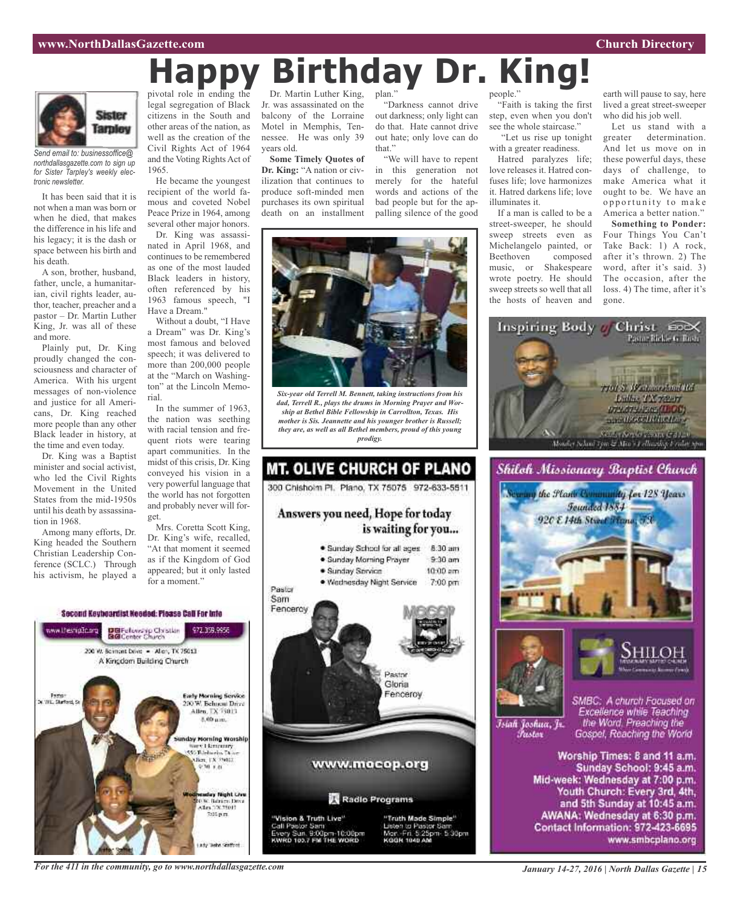#### **www.NorthDallasGazette.com Church Directory**



*Send email to: businessoffice@ northdallasgazette.com to sign up for Sister Tarpley's weekly electronic newsletter.*

It has been said that it is not when a man was born or when he died, that makes the difference in his life and his legacy; it is the dash or space between his birth and his death.

A son, brother, husband, father, uncle, a humanitarian, civil rights leader, author, teacher, preacher and a pastor – Dr. Martin Luther King, Jr. was all of these and more.

Plainly put, Dr. King proudly changed the consciousness and character of America. With his urgent messages of non-violence and justice for all Americans, Dr. King reached more people than any other Black leader in history, at the time and even today.

Dr. King was a Baptist minister and social activist, who led the Civil Rights Movement in the United States from the mid-1950s until his death by assassination in 1968.

Among many efforts, Dr. King headed the Southern Christian Leadership Conference (SCLC.) Through his activism, he played a

www.thesnip.tic.org

pivotal role in ending the legal segregation of Black citizens in the South and other areas of the nation, as well as the creation of the Civil Rights Act of 1964 and the Voting Rights Act of 1965. **Happy Birthday Dr. King!**

He became the youngest recipient of the world famous and coveted Nobel Peace Prize in 1964, among several other major honors.

Dr. King was assassinated in April 1968, and continues to be remembered as one of the most lauded Black leaders in history, often referenced by his 1963 famous speech, "I Have a Dream."

Without a doubt, "I Have a Dream" was Dr. King's most famous and beloved speech; it was delivered to more than 200,000 people at the "March on Washington" at the Lincoln Memorial.

In the summer of 1963, the nation was seething with racial tension and frequent riots were tearing apart communities. In the midst of this crisis, Dr. King conveyed his vision in a very powerful language that the world has not forgotten and probably never will forget.

Mrs. Coretta Scott King, Dr. King's wife, recalled, "At that moment it seemed

as if the Kingdom of God appeared; but it only lasted for a moment." Pastor Sam Second Keybeardist Needed: Please Call For Into DBFelowskip Christian<br>BGConter Church 972.359.9955 200 W. Bernont Dove . Allery, TX 75013 A Kingdom Building Church **Early Morning Service** 



Dr. Martin Luther King, Jr. was assassinated on the balcony of the Lorraine Motel in Memphis, Tennessee. He was only 39 years old.

**Some Timely Quotes of Dr. King:** "A nation or civilization that continues to produce soft-minded men purchases its own spiritual death on an installment

plan." "Darkness cannot drive out darkness; only light can do that. Hate cannot drive

out hate; only love can do that." "We will have to repent in this generation not merely for the hateful words and actions of the bad people but for the appalling silence of the good



*Six-year old Terrell M. Bennett, taking instructions from his dad, Terrell R., plays the drums in Morning Prayer and Worship at Bethel Bible Fellowship in Carrollton, Texas. His mother is Sis. Jeannette and his younger brother is Russell; they are, as well as all Bethel members, proud of this young prodigy.*



people."

"Faith is taking the first step, even when you don't see the whole staircase."

"Let us rise up tonight with a greater readiness. Hatred paralyzes life; love releases it. Hatred confuses life; love harmonizes it. Hatred darkens life; love illuminates it.

If a man is called to be a street-sweeper, he should sweep streets even as Michelangelo painted, or Beethoven composed music, or Shakespeare wrote poetry. He should sweep streets so well that all the hosts of heaven and

earth will pause to say, here lived a great street-sweeper who did his job well.

Let us stand with a greater determination. And let us move on in these powerful days, these days of challenge, to make America what it ought to be. We have an opportunity to make America a better nation."

**Something to Ponder:** Four Things You Can't Take Back: 1) A rock, after it's thrown. 2) The word, after it's said. 3) The occasion, after the loss. 4) The time, after it's gone.







Islah Joshua, Jr. *Tustov* 

SMBC: A church Focused on Excellence while Teaching the Word. Preaching the Gospel, Reaching the World

Worship Times: 8 and 11 a.m. Sunday School: 9:45 a.m. Mid-week: Wednesday at 7:00 p.m. Youth Church: Every 3rd, 4th, and 5th Sunday at 10:45 a.m. AWANA: Wednesday at 6:30 p.m. Contact Information: 972-423-6695 www.smbcplano.org

#### *For the 411 in the community, go to www.northdallasgazette.com*